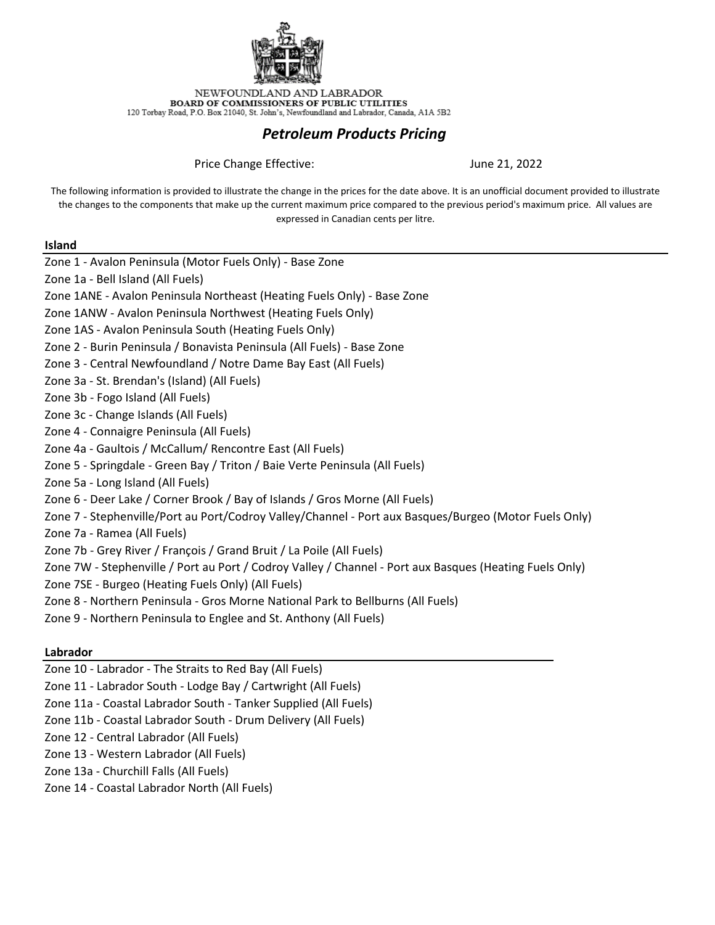

NEWFOUNDLAND AND LABRADOR BOARD OF COMMISSIONERS OF PUBLIC UTILITIES  $120$  Torbay Road, P.O. Box  $21040,$  St. John's, Newfoundland and Labrador, Canada, A1A  $5\mathrm{B}2$ 

#### *Petroleum Products Pricing*

Price Change Effective:

June 21, 2022

The following information is provided to illustrate the change in the prices for the date above. It is an unofficial document provided to illustrate the changes to the components that make up the current maximum price compared to the previous period's maximum price. All values are expressed in Canadian cents per litre.

#### **Island**

Zone 1 - Avalon Peninsula (Motor Fuels Only) - Base Zone Zone 1a - Bell Island (All Fuels) Zone 1ANE - Avalon Peninsula Northeast (Heating Fuels Only) - Base Zone Zone 1ANW - Avalon Peninsula Northwest (Heating Fuels Only) Zone 1AS - Avalon Peninsula South (Heating Fuels Only) Zone 2 - Burin Peninsula / Bonavista Peninsula (All Fuels) - Base Zone Zone 3 - Central Newfoundland / Notre Dame Bay East (All Fuels) Zone 3a - St. Brendan's (Island) (All Fuels) Zone 3b - Fogo Island (All Fuels) Zone 3c - Change Islands (All Fuels) Zone 4 - Connaigre Peninsula (All Fuels) Zone 4a - Gaultois / McCallum/ Rencontre East (All Fuels) Zone 5 - Springdale - Green Bay / Triton / Baie Verte Peninsula (All Fuels) Zone 5a - Long Island (All Fuels) Zone 6 - Deer Lake / Corner Brook / Bay of Islands / Gros Morne (All Fuels) Zone 7 - Stephenville/Port au Port/Codroy Valley/Channel - Port aux Basques/Burgeo (Motor Fuels Only) Zone 7a - Ramea (All Fuels) Zone 7b - Grey River / François / Grand Bruit / La Poile (All Fuels) Zone 7W - Stephenville / Port au Port / Codroy Valley / Channel - Port aux Basques (Heating Fuels Only) Zone 7SE - Burgeo (Heating Fuels Only) (All Fuels) Zone 8 - Northern Peninsula - Gros Morne National Park to Bellburns (All Fuels) Zone 9 - Northern Peninsula to Englee and St. Anthony (All Fuels)

#### **Labrador**

Zone 10 - Labrador - The Straits to Red Bay (All Fuels)

Zone 11 - Labrador South - Lodge Bay / Cartwright (All Fuels)

Zone 11a - Coastal Labrador South - Tanker Supplied (All Fuels)

Zone 11b - Coastal Labrador South - Drum Delivery (All Fuels)

Zone 12 - Central Labrador (All Fuels)

Zone 13 - Western Labrador (All Fuels)

Zone 13a - Churchill Falls (All Fuels)

Zone 14 - Coastal Labrador North (All Fuels)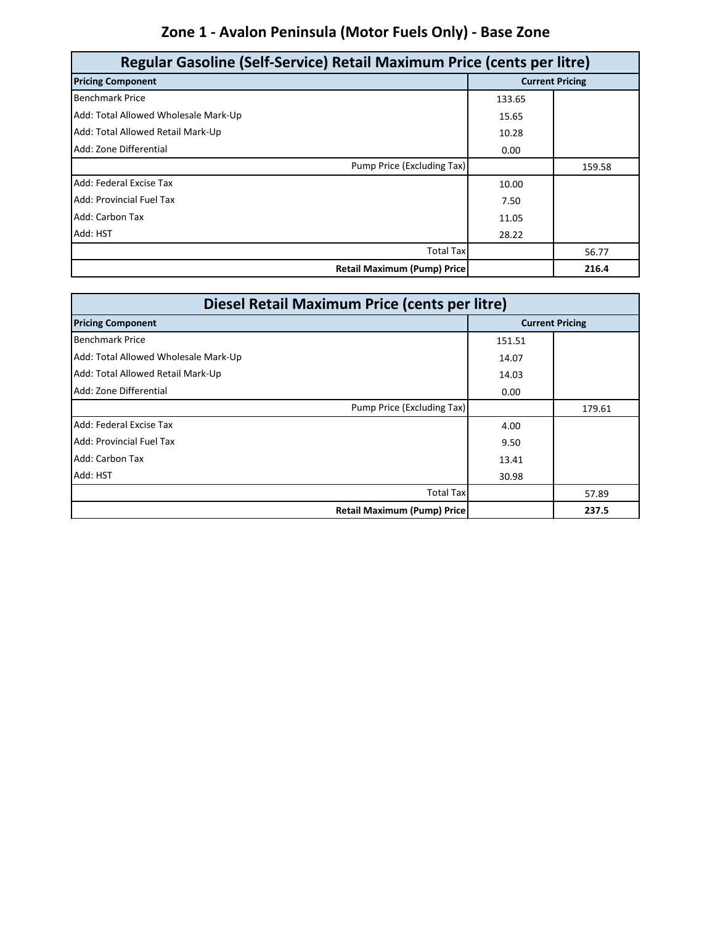# **Zone 1 - Avalon Peninsula (Motor Fuels Only) - Base Zone**

| Regular Gasoline (Self-Service) Retail Maximum Price (cents per litre) |        |                        |
|------------------------------------------------------------------------|--------|------------------------|
| <b>Pricing Component</b>                                               |        | <b>Current Pricing</b> |
| <b>Benchmark Price</b>                                                 | 133.65 |                        |
| Add: Total Allowed Wholesale Mark-Up                                   | 15.65  |                        |
| Add: Total Allowed Retail Mark-Up                                      | 10.28  |                        |
| Add: Zone Differential                                                 | 0.00   |                        |
| Pump Price (Excluding Tax)                                             |        | 159.58                 |
| Add: Federal Excise Tax                                                | 10.00  |                        |
| Add: Provincial Fuel Tax                                               | 7.50   |                        |
| Add: Carbon Tax                                                        | 11.05  |                        |
| Add: HST                                                               | 28.22  |                        |
| <b>Total Tax</b>                                                       |        | 56.77                  |
| <b>Retail Maximum (Pump) Price</b>                                     |        | 216.4                  |

| Diesel Retail Maximum Price (cents per litre) |        |                        |
|-----------------------------------------------|--------|------------------------|
| <b>Pricing Component</b>                      |        | <b>Current Pricing</b> |
| <b>Benchmark Price</b>                        | 151.51 |                        |
| Add: Total Allowed Wholesale Mark-Up          | 14.07  |                        |
| Add: Total Allowed Retail Mark-Up             | 14.03  |                        |
| Add: Zone Differential                        | 0.00   |                        |
| Pump Price (Excluding Tax)                    |        | 179.61                 |
| Add: Federal Excise Tax                       | 4.00   |                        |
| Add: Provincial Fuel Tax                      | 9.50   |                        |
| Add: Carbon Tax                               | 13.41  |                        |
| Add: HST                                      | 30.98  |                        |
| <b>Total Tax</b>                              |        | 57.89                  |
| <b>Retail Maximum (Pump) Price</b>            |        | 237.5                  |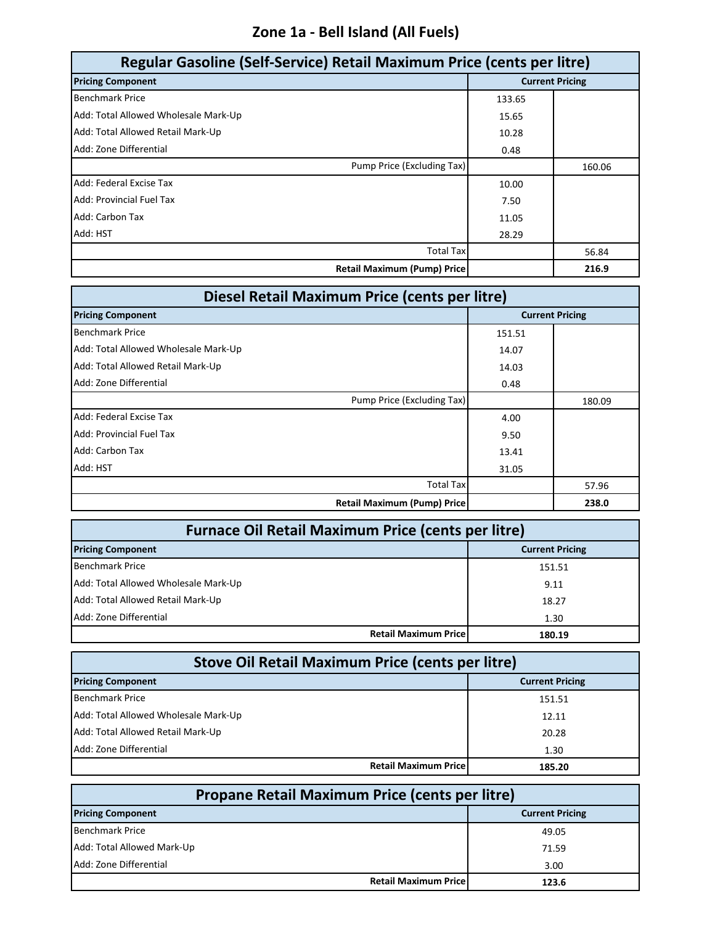### **Zone 1a - Bell Island (All Fuels)**

| Regular Gasoline (Self-Service) Retail Maximum Price (cents per litre) |        |                        |
|------------------------------------------------------------------------|--------|------------------------|
| <b>Pricing Component</b>                                               |        | <b>Current Pricing</b> |
| <b>Benchmark Price</b>                                                 | 133.65 |                        |
| Add: Total Allowed Wholesale Mark-Up                                   | 15.65  |                        |
| Add: Total Allowed Retail Mark-Up                                      | 10.28  |                        |
| Add: Zone Differential                                                 | 0.48   |                        |
| Pump Price (Excluding Tax)                                             |        | 160.06                 |
| Add: Federal Excise Tax                                                | 10.00  |                        |
| <b>Add: Provincial Fuel Tax</b>                                        | 7.50   |                        |
| Add: Carbon Tax                                                        | 11.05  |                        |
| Add: HST                                                               | 28.29  |                        |
| <b>Total Tax</b>                                                       |        | 56.84                  |
| <b>Retail Maximum (Pump) Price</b>                                     |        | 216.9                  |

| Diesel Retail Maximum Price (cents per litre) |        |                        |
|-----------------------------------------------|--------|------------------------|
| <b>Pricing Component</b>                      |        | <b>Current Pricing</b> |
| <b>Benchmark Price</b>                        | 151.51 |                        |
| Add: Total Allowed Wholesale Mark-Up          | 14.07  |                        |
| Add: Total Allowed Retail Mark-Up             | 14.03  |                        |
| Add: Zone Differential                        | 0.48   |                        |
| Pump Price (Excluding Tax)                    |        | 180.09                 |
| Add: Federal Excise Tax                       | 4.00   |                        |
| Add: Provincial Fuel Tax                      | 9.50   |                        |
| Add: Carbon Tax                               | 13.41  |                        |
| Add: HST                                      | 31.05  |                        |
| <b>Total Tax</b>                              |        | 57.96                  |
| <b>Retail Maximum (Pump) Price</b>            |        | 238.0                  |

| <b>Furnace Oil Retail Maximum Price (cents per litre)</b> |                                        |  |
|-----------------------------------------------------------|----------------------------------------|--|
| <b>Pricing Component</b>                                  | <b>Current Pricing</b>                 |  |
| <b>Benchmark Price</b>                                    | 151.51                                 |  |
| Add: Total Allowed Wholesale Mark-Up                      | 9.11                                   |  |
| Add: Total Allowed Retail Mark-Up                         | 18.27                                  |  |
| Add: Zone Differential                                    | 1.30                                   |  |
|                                                           | <b>Retail Maximum Pricel</b><br>180.19 |  |

| <b>Stove Oil Retail Maximum Price (cents per litre)</b> |                        |  |
|---------------------------------------------------------|------------------------|--|
| <b>Pricing Component</b>                                | <b>Current Pricing</b> |  |
| <b>Benchmark Price</b>                                  | 151.51                 |  |
| Add: Total Allowed Wholesale Mark-Up                    | 12.11                  |  |
| Add: Total Allowed Retail Mark-Up                       | 20.28                  |  |
| Add: Zone Differential                                  | 1.30                   |  |
| <b>Retail Maximum Pricel</b>                            | 185.20                 |  |

| <b>Propane Retail Maximum Price (cents per litre)</b> |                        |  |
|-------------------------------------------------------|------------------------|--|
| <b>Pricing Component</b>                              | <b>Current Pricing</b> |  |
| <b>Benchmark Price</b>                                | 49.05                  |  |
| Add: Total Allowed Mark-Up                            | 71.59                  |  |
| Add: Zone Differential                                | 3.00                   |  |
| <b>Retail Maximum Price</b>                           | 123.6                  |  |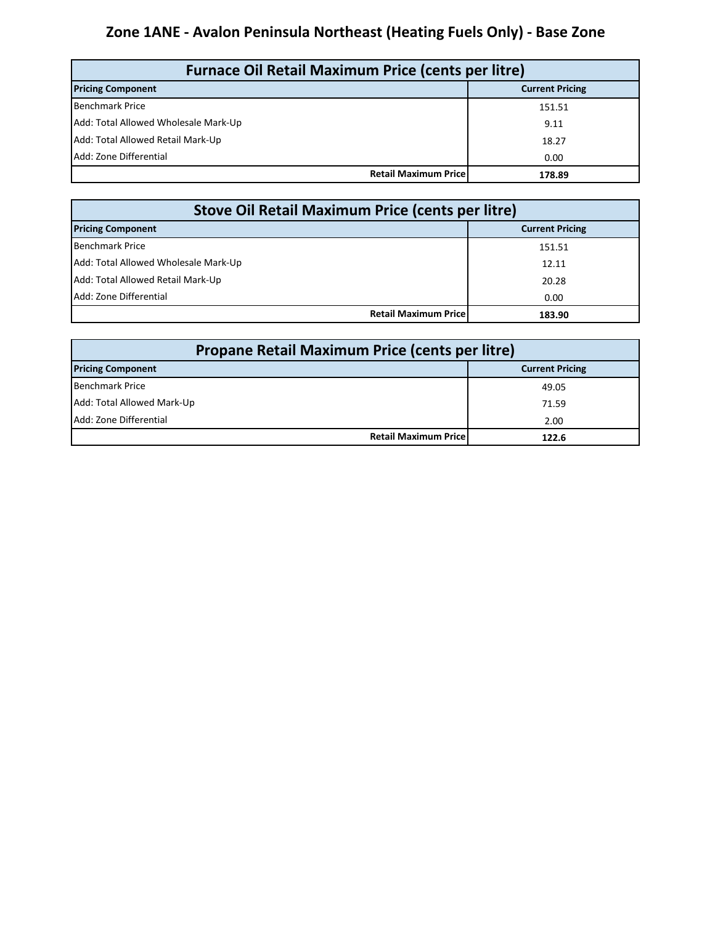### **Zone 1ANE - Avalon Peninsula Northeast (Heating Fuels Only) - Base Zone**

| <b>Furnace Oil Retail Maximum Price (cents per litre)</b> |                        |  |
|-----------------------------------------------------------|------------------------|--|
| <b>Pricing Component</b>                                  | <b>Current Pricing</b> |  |
| <b>Benchmark Price</b>                                    | 151.51                 |  |
| Add: Total Allowed Wholesale Mark-Up                      | 9.11                   |  |
| Add: Total Allowed Retail Mark-Up                         | 18.27                  |  |
| Add: Zone Differential                                    | 0.00                   |  |
| <b>Retail Maximum Price</b>                               | 178.89                 |  |

| Stove Oil Retail Maximum Price (cents per litre) |                        |  |
|--------------------------------------------------|------------------------|--|
| <b>Pricing Component</b>                         | <b>Current Pricing</b> |  |
| <b>Benchmark Price</b>                           | 151.51                 |  |
| Add: Total Allowed Wholesale Mark-Up             | 12.11                  |  |
| Add: Total Allowed Retail Mark-Up                | 20.28                  |  |
| Add: Zone Differential                           | 0.00                   |  |
| <b>Retail Maximum Pricel</b>                     | 183.90                 |  |

| Propane Retail Maximum Price (cents per litre) |                              |                        |
|------------------------------------------------|------------------------------|------------------------|
| <b>Pricing Component</b>                       |                              | <b>Current Pricing</b> |
| Benchmark Price                                |                              | 49.05                  |
| Add: Total Allowed Mark-Up                     |                              | 71.59                  |
| Add: Zone Differential                         |                              | 2.00                   |
|                                                | <b>Retail Maximum Pricel</b> | 122.6                  |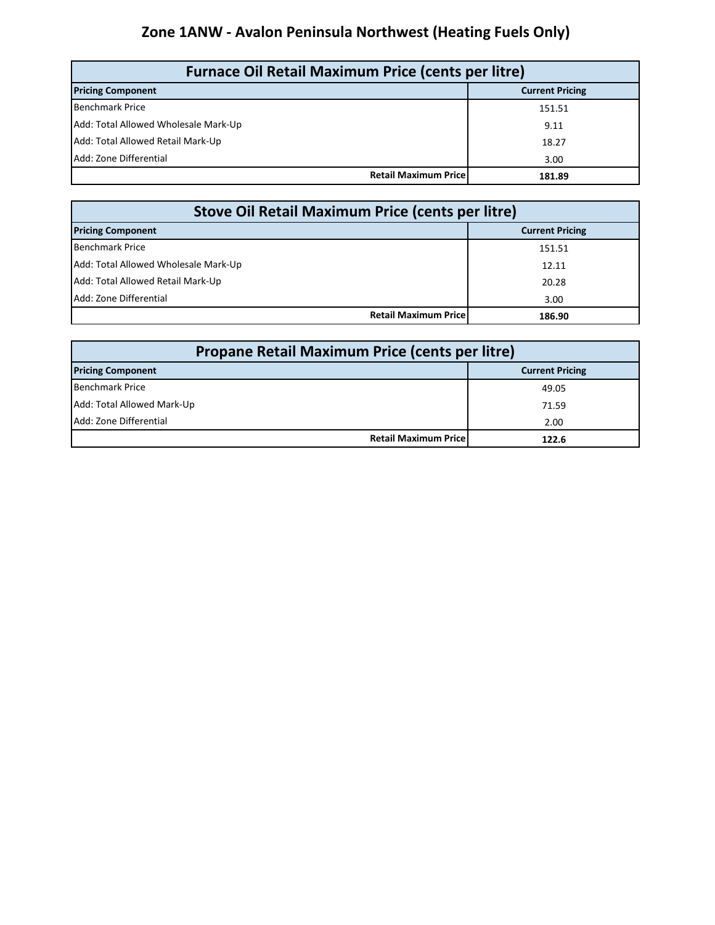### **Zone 1ANW - Avalon Peninsula Northwest (Heating Fuels Only)**

| <b>Furnace Oil Retail Maximum Price (cents per litre)</b> |                        |  |
|-----------------------------------------------------------|------------------------|--|
| <b>Pricing Component</b>                                  | <b>Current Pricing</b> |  |
| Benchmark Price                                           | 151.51                 |  |
| Add: Total Allowed Wholesale Mark-Up                      | 9.11                   |  |
| Add: Total Allowed Retail Mark-Up                         | 18.27                  |  |
| Add: Zone Differential                                    | 3.00                   |  |
| <b>Retail Maximum Pricel</b>                              | 181.89                 |  |

| Stove Oil Retail Maximum Price (cents per litre) |                        |  |
|--------------------------------------------------|------------------------|--|
| <b>Pricing Component</b>                         | <b>Current Pricing</b> |  |
| <b>Benchmark Price</b>                           | 151.51                 |  |
| Add: Total Allowed Wholesale Mark-Up             | 12.11                  |  |
| Add: Total Allowed Retail Mark-Up                | 20.28                  |  |
| Add: Zone Differential                           | 3.00                   |  |
| <b>Retail Maximum Pricel</b>                     | 186.90                 |  |

| <b>Propane Retail Maximum Price (cents per litre)</b> |                        |  |
|-------------------------------------------------------|------------------------|--|
| <b>Pricing Component</b>                              | <b>Current Pricing</b> |  |
| Benchmark Price                                       | 49.05                  |  |
| Add: Total Allowed Mark-Up                            | 71.59                  |  |
| Add: Zone Differential                                | 2.00                   |  |
| <b>Retail Maximum Price</b>                           | 122.6                  |  |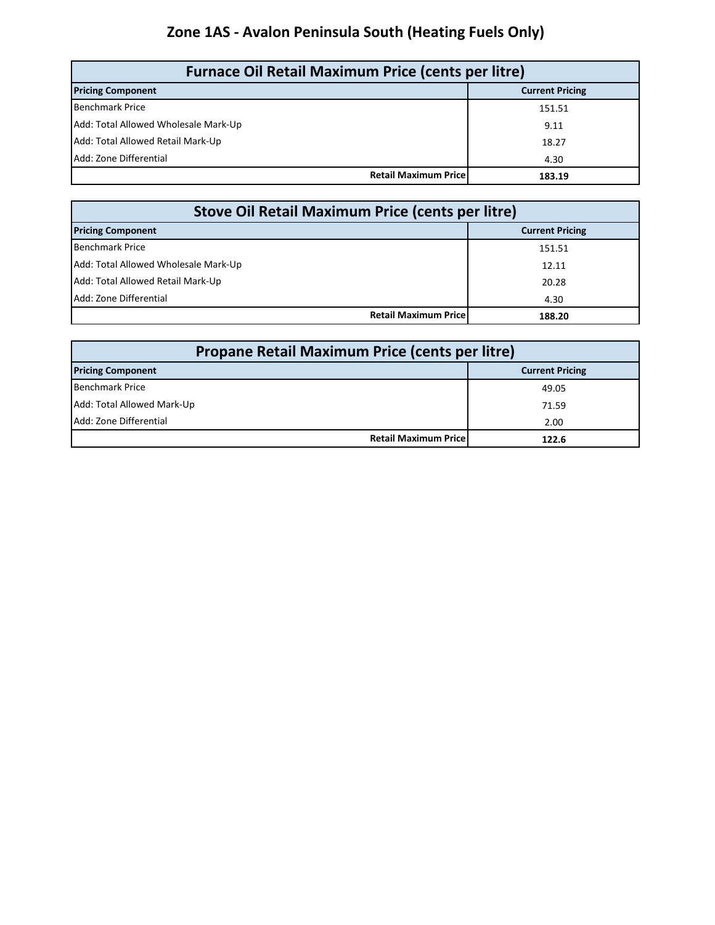# **Zone 1AS - Avalon Peninsula South (Heating Fuels Only)**

| <b>Furnace Oil Retail Maximum Price (cents per litre)</b> |                        |  |
|-----------------------------------------------------------|------------------------|--|
| <b>Pricing Component</b>                                  | <b>Current Pricing</b> |  |
| <b>Benchmark Price</b>                                    | 151.51                 |  |
| Add: Total Allowed Wholesale Mark-Up                      | 9.11                   |  |
| Add: Total Allowed Retail Mark-Up                         | 18.27                  |  |
| Add: Zone Differential                                    | 4.30                   |  |
| <b>Retail Maximum Price</b>                               | 183.19                 |  |

| <b>Stove Oil Retail Maximum Price (cents per litre)</b> |                                       |  |  |
|---------------------------------------------------------|---------------------------------------|--|--|
| <b>Pricing Component</b>                                | <b>Current Pricing</b>                |  |  |
| <b>Benchmark Price</b>                                  | 151.51                                |  |  |
| Add: Total Allowed Wholesale Mark-Up                    | 12.11                                 |  |  |
| Add: Total Allowed Retail Mark-Up                       | 20.28                                 |  |  |
| Add: Zone Differential                                  | 4.30                                  |  |  |
|                                                         | <b>Retail Maximum Price</b><br>188.20 |  |  |

| <b>Propane Retail Maximum Price (cents per litre)</b> |                        |  |
|-------------------------------------------------------|------------------------|--|
| <b>Pricing Component</b>                              | <b>Current Pricing</b> |  |
| Benchmark Price                                       | 49.05                  |  |
| Add: Total Allowed Mark-Up                            | 71.59                  |  |
| Add: Zone Differential                                | 2.00                   |  |
| <b>Retail Maximum Price</b>                           | 122.6                  |  |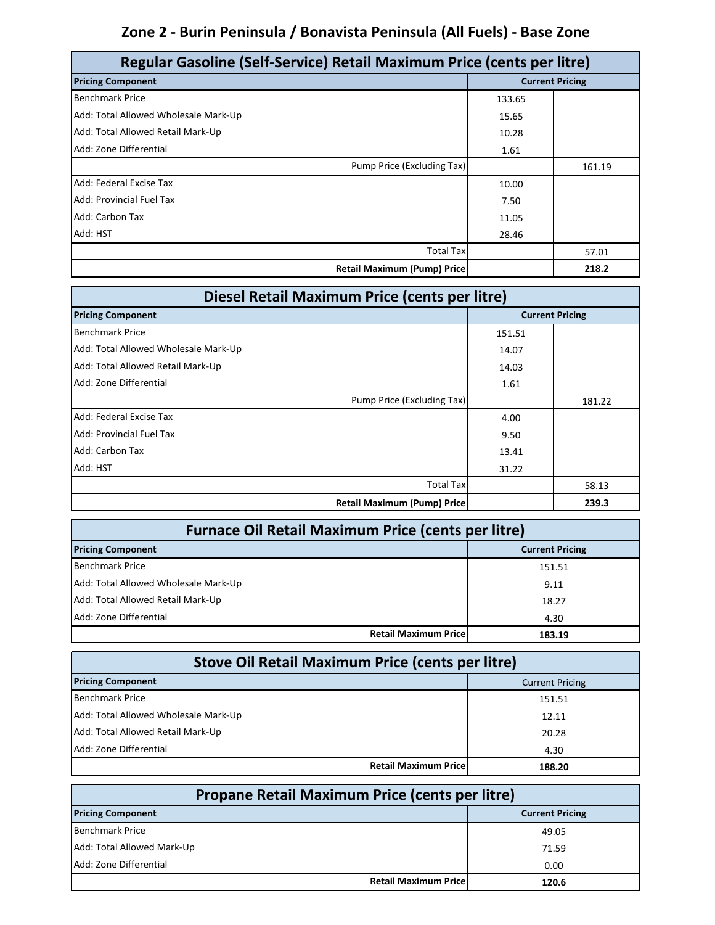### **Zone 2 - Burin Peninsula / Bonavista Peninsula (All Fuels) - Base Zone**

| Regular Gasoline (Self-Service) Retail Maximum Price (cents per litre) |        |                        |
|------------------------------------------------------------------------|--------|------------------------|
| <b>Pricing Component</b>                                               |        | <b>Current Pricing</b> |
| <b>Benchmark Price</b>                                                 | 133.65 |                        |
| Add: Total Allowed Wholesale Mark-Up                                   | 15.65  |                        |
| Add: Total Allowed Retail Mark-Up                                      | 10.28  |                        |
| Add: Zone Differential                                                 | 1.61   |                        |
| Pump Price (Excluding Tax)                                             |        | 161.19                 |
| Add: Federal Excise Tax                                                | 10.00  |                        |
| Add: Provincial Fuel Tax                                               | 7.50   |                        |
| Add: Carbon Tax                                                        | 11.05  |                        |
| Add: HST                                                               | 28.46  |                        |
| <b>Total Tax</b>                                                       |        | 57.01                  |
| <b>Retail Maximum (Pump) Price</b>                                     |        | 218.2                  |

| Diesel Retail Maximum Price (cents per litre) |        |                        |
|-----------------------------------------------|--------|------------------------|
| <b>Pricing Component</b>                      |        | <b>Current Pricing</b> |
| <b>Benchmark Price</b>                        | 151.51 |                        |
| Add: Total Allowed Wholesale Mark-Up          | 14.07  |                        |
| Add: Total Allowed Retail Mark-Up             | 14.03  |                        |
| Add: Zone Differential                        | 1.61   |                        |
| Pump Price (Excluding Tax)                    |        | 181.22                 |
| Add: Federal Excise Tax                       | 4.00   |                        |
| Add: Provincial Fuel Tax                      | 9.50   |                        |
| Add: Carbon Tax                               | 13.41  |                        |
| Add: HST                                      | 31.22  |                        |
| <b>Total Tax</b>                              |        | 58.13                  |
| <b>Retail Maximum (Pump) Price</b>            |        | 239.3                  |

| <b>Furnace Oil Retail Maximum Price (cents per litre)</b> |                                       |  |
|-----------------------------------------------------------|---------------------------------------|--|
| <b>Pricing Component</b>                                  | <b>Current Pricing</b>                |  |
| <b>Benchmark Price</b>                                    | 151.51                                |  |
| Add: Total Allowed Wholesale Mark-Up                      | 9.11                                  |  |
| Add: Total Allowed Retail Mark-Up                         | 18.27                                 |  |
| Add: Zone Differential                                    | 4.30                                  |  |
|                                                           | <b>Retail Maximum Price</b><br>183.19 |  |

| <b>Stove Oil Retail Maximum Price (cents per litre)</b> |        |  |
|---------------------------------------------------------|--------|--|
| <b>Pricing Component</b><br><b>Current Pricing</b>      |        |  |
| <b>Benchmark Price</b>                                  | 151.51 |  |
| Add: Total Allowed Wholesale Mark-Up                    | 12.11  |  |
| Add: Total Allowed Retail Mark-Up                       | 20.28  |  |
| Add: Zone Differential                                  | 4.30   |  |
| <b>Retail Maximum Pricel</b>                            | 188.20 |  |

| Propane Retail Maximum Price (cents per litre) |                              |                        |
|------------------------------------------------|------------------------------|------------------------|
| <b>Pricing Component</b>                       |                              | <b>Current Pricing</b> |
| <b>Benchmark Price</b>                         |                              | 49.05                  |
| Add: Total Allowed Mark-Up                     |                              | 71.59                  |
| Add: Zone Differential                         |                              | 0.00                   |
|                                                | <b>Retail Maximum Pricel</b> | 120.6                  |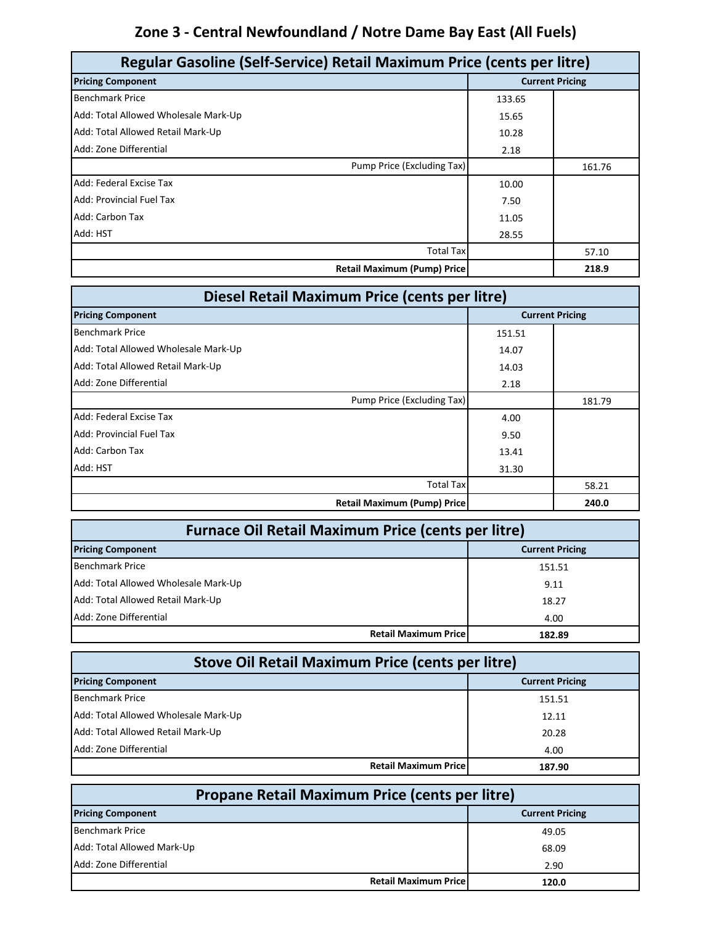# **Zone 3 - Central Newfoundland / Notre Dame Bay East (All Fuels)**

| Regular Gasoline (Self-Service) Retail Maximum Price (cents per litre) |        |                        |
|------------------------------------------------------------------------|--------|------------------------|
| <b>Pricing Component</b>                                               |        | <b>Current Pricing</b> |
| <b>Benchmark Price</b>                                                 | 133.65 |                        |
| Add: Total Allowed Wholesale Mark-Up                                   | 15.65  |                        |
| Add: Total Allowed Retail Mark-Up                                      | 10.28  |                        |
| Add: Zone Differential                                                 | 2.18   |                        |
| Pump Price (Excluding Tax)                                             |        | 161.76                 |
| Add: Federal Excise Tax                                                | 10.00  |                        |
| <b>Add: Provincial Fuel Tax</b>                                        | 7.50   |                        |
| Add: Carbon Tax                                                        | 11.05  |                        |
| Add: HST                                                               | 28.55  |                        |
| <b>Total Tax</b>                                                       |        | 57.10                  |
| <b>Retail Maximum (Pump) Price</b>                                     |        | 218.9                  |

| Diesel Retail Maximum Price (cents per litre) |        |                        |
|-----------------------------------------------|--------|------------------------|
| <b>Pricing Component</b>                      |        | <b>Current Pricing</b> |
| <b>Benchmark Price</b>                        | 151.51 |                        |
| Add: Total Allowed Wholesale Mark-Up          | 14.07  |                        |
| Add: Total Allowed Retail Mark-Up             | 14.03  |                        |
| Add: Zone Differential                        | 2.18   |                        |
| Pump Price (Excluding Tax)                    |        | 181.79                 |
| Add: Federal Excise Tax                       | 4.00   |                        |
| Add: Provincial Fuel Tax                      | 9.50   |                        |
| Add: Carbon Tax                               | 13.41  |                        |
| Add: HST                                      | 31.30  |                        |
| <b>Total Tax</b>                              |        | 58.21                  |
| <b>Retail Maximum (Pump) Price</b>            |        | 240.0                  |

| <b>Furnace Oil Retail Maximum Price (cents per litre)</b> |                        |  |
|-----------------------------------------------------------|------------------------|--|
| <b>Pricing Component</b>                                  | <b>Current Pricing</b> |  |
| <b>Benchmark Price</b>                                    | 151.51                 |  |
| Add: Total Allowed Wholesale Mark-Up                      | 9.11                   |  |
| Add: Total Allowed Retail Mark-Up                         | 18.27                  |  |
| Add: Zone Differential                                    | 4.00                   |  |
| <b>Retail Maximum Pricel</b>                              | 182.89                 |  |

| <b>Stove Oil Retail Maximum Price (cents per litre)</b> |                        |  |
|---------------------------------------------------------|------------------------|--|
| <b>Pricing Component</b>                                | <b>Current Pricing</b> |  |
| <b>Benchmark Price</b>                                  | 151.51                 |  |
| Add: Total Allowed Wholesale Mark-Up                    | 12.11                  |  |
| Add: Total Allowed Retail Mark-Up                       | 20.28                  |  |
| Add: Zone Differential                                  | 4.00                   |  |
| <b>Retail Maximum Pricel</b>                            | 187.90                 |  |

| Propane Retail Maximum Price (cents per litre) |                                       |  |
|------------------------------------------------|---------------------------------------|--|
| <b>Pricing Component</b>                       | <b>Current Pricing</b>                |  |
| <b>Benchmark Price</b>                         | 49.05                                 |  |
| Add: Total Allowed Mark-Up                     | 68.09                                 |  |
| Add: Zone Differential                         | 2.90                                  |  |
|                                                | <b>Retail Maximum Pricel</b><br>120.0 |  |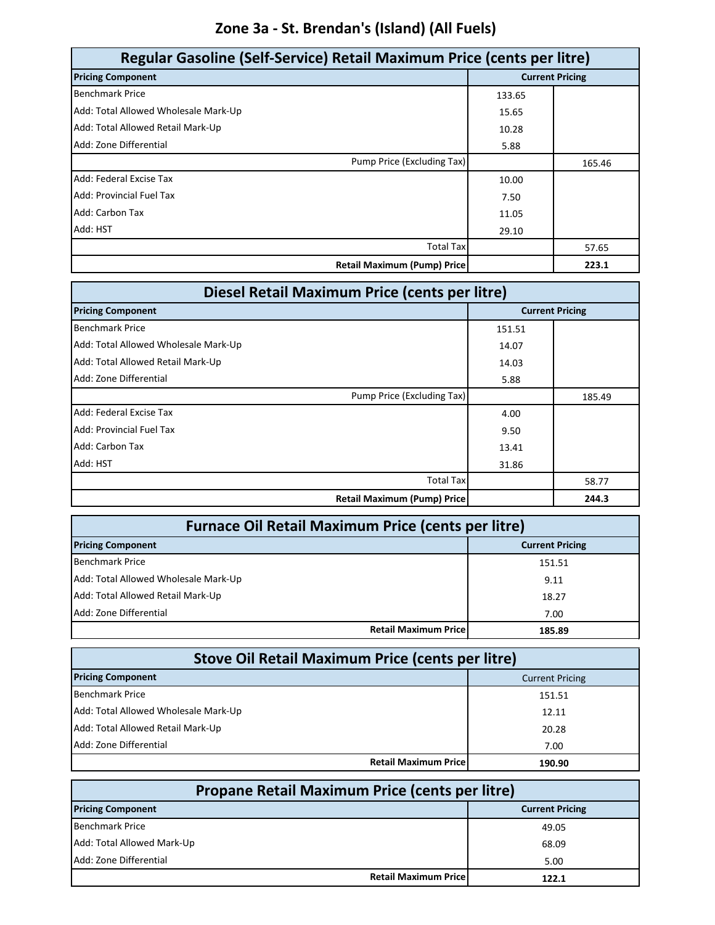### **Zone 3a - St. Brendan's (Island) (All Fuels)**

| Regular Gasoline (Self-Service) Retail Maximum Price (cents per litre) |        |                        |
|------------------------------------------------------------------------|--------|------------------------|
| <b>Pricing Component</b>                                               |        | <b>Current Pricing</b> |
| <b>Benchmark Price</b>                                                 | 133.65 |                        |
| Add: Total Allowed Wholesale Mark-Up                                   | 15.65  |                        |
| Add: Total Allowed Retail Mark-Up                                      | 10.28  |                        |
| Add: Zone Differential                                                 | 5.88   |                        |
| Pump Price (Excluding Tax)                                             |        | 165.46                 |
| Add: Federal Excise Tax                                                | 10.00  |                        |
| Add: Provincial Fuel Tax                                               | 7.50   |                        |
| Add: Carbon Tax                                                        | 11.05  |                        |
| Add: HST                                                               | 29.10  |                        |
| <b>Total Tax</b>                                                       |        | 57.65                  |
| <b>Retail Maximum (Pump) Price</b>                                     |        | 223.1                  |

| Diesel Retail Maximum Price (cents per litre) |        |                        |
|-----------------------------------------------|--------|------------------------|
| <b>Pricing Component</b>                      |        | <b>Current Pricing</b> |
| <b>Benchmark Price</b>                        | 151.51 |                        |
| Add: Total Allowed Wholesale Mark-Up          | 14.07  |                        |
| Add: Total Allowed Retail Mark-Up             | 14.03  |                        |
| Add: Zone Differential                        | 5.88   |                        |
| Pump Price (Excluding Tax)                    |        | 185.49                 |
| Add: Federal Excise Tax                       | 4.00   |                        |
| Add: Provincial Fuel Tax                      | 9.50   |                        |
| Add: Carbon Tax                               | 13.41  |                        |
| Add: HST                                      | 31.86  |                        |
| <b>Total Tax</b>                              |        | 58.77                  |
| <b>Retail Maximum (Pump) Price</b>            |        | 244.3                  |

| <b>Furnace Oil Retail Maximum Price (cents per litre)</b> |                        |  |
|-----------------------------------------------------------|------------------------|--|
| <b>Pricing Component</b>                                  | <b>Current Pricing</b> |  |
| <b>Benchmark Price</b>                                    | 151.51                 |  |
| Add: Total Allowed Wholesale Mark-Up                      | 9.11                   |  |
| Add: Total Allowed Retail Mark-Up                         | 18.27                  |  |
| Add: Zone Differential                                    | 7.00                   |  |
| <b>Retail Maximum Price</b>                               | 185.89                 |  |

| <b>Stove Oil Retail Maximum Price (cents per litre)</b> |                        |  |
|---------------------------------------------------------|------------------------|--|
| <b>Pricing Component</b>                                | <b>Current Pricing</b> |  |
| <b>Benchmark Price</b>                                  | 151.51                 |  |
| Add: Total Allowed Wholesale Mark-Up                    | 12.11                  |  |
| Add: Total Allowed Retail Mark-Up                       | 20.28                  |  |
| Add: Zone Differential                                  | 7.00                   |  |
| <b>Retail Maximum Pricel</b>                            | 190.90                 |  |

| <b>Propane Retail Maximum Price (cents per litre)</b> |                        |  |
|-------------------------------------------------------|------------------------|--|
| <b>Pricing Component</b>                              | <b>Current Pricing</b> |  |
| <b>Benchmark Price</b>                                | 49.05                  |  |
| Add: Total Allowed Mark-Up                            | 68.09                  |  |
| Add: Zone Differential                                | 5.00                   |  |
| <b>Retail Maximum Pricel</b>                          | 122.1                  |  |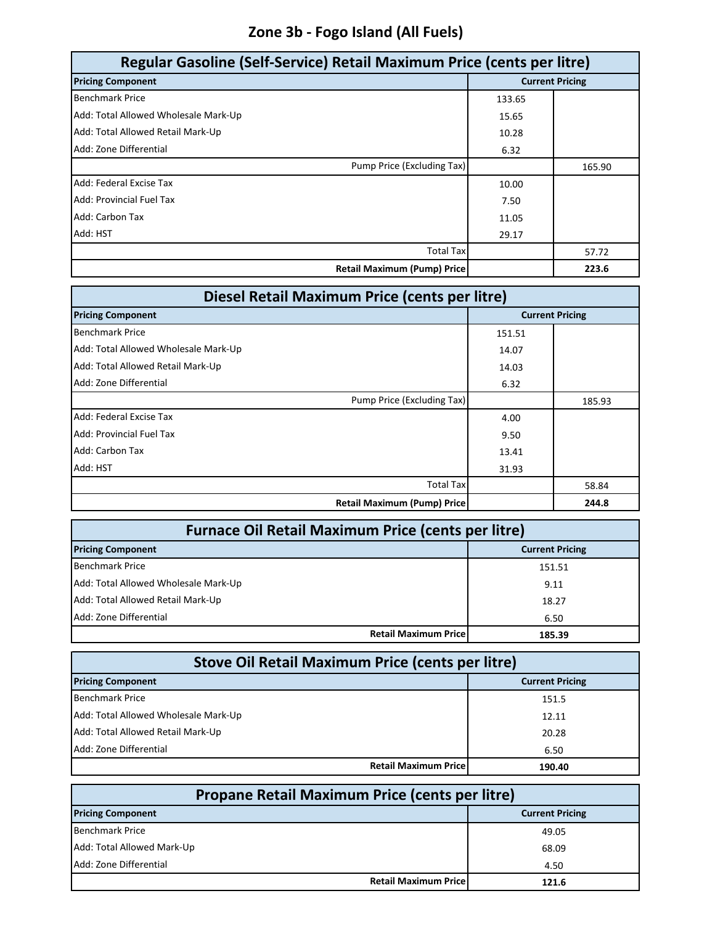### **Zone 3b - Fogo Island (All Fuels)**

| Regular Gasoline (Self-Service) Retail Maximum Price (cents per litre) |        |                        |
|------------------------------------------------------------------------|--------|------------------------|
| <b>Pricing Component</b>                                               |        | <b>Current Pricing</b> |
| <b>Benchmark Price</b>                                                 | 133.65 |                        |
| Add: Total Allowed Wholesale Mark-Up                                   | 15.65  |                        |
| Add: Total Allowed Retail Mark-Up                                      | 10.28  |                        |
| Add: Zone Differential                                                 | 6.32   |                        |
| Pump Price (Excluding Tax)                                             |        | 165.90                 |
| Add: Federal Excise Tax                                                | 10.00  |                        |
| Add: Provincial Fuel Tax                                               | 7.50   |                        |
| Add: Carbon Tax                                                        | 11.05  |                        |
| Add: HST                                                               | 29.17  |                        |
| <b>Total Tax</b>                                                       |        | 57.72                  |
| <b>Retail Maximum (Pump) Price</b>                                     |        | 223.6                  |

| Diesel Retail Maximum Price (cents per litre) |        |                        |
|-----------------------------------------------|--------|------------------------|
| <b>Pricing Component</b>                      |        | <b>Current Pricing</b> |
| <b>Benchmark Price</b>                        | 151.51 |                        |
| Add: Total Allowed Wholesale Mark-Up          | 14.07  |                        |
| Add: Total Allowed Retail Mark-Up             | 14.03  |                        |
| Add: Zone Differential                        | 6.32   |                        |
| Pump Price (Excluding Tax)                    |        | 185.93                 |
| Add: Federal Excise Tax                       | 4.00   |                        |
| Add: Provincial Fuel Tax                      | 9.50   |                        |
| Add: Carbon Tax                               | 13.41  |                        |
| Add: HST                                      | 31.93  |                        |
| <b>Total Tax</b>                              |        | 58.84                  |
| <b>Retail Maximum (Pump) Price</b>            |        | 244.8                  |

| <b>Furnace Oil Retail Maximum Price (cents per litre)</b> |                        |  |
|-----------------------------------------------------------|------------------------|--|
| <b>Pricing Component</b>                                  | <b>Current Pricing</b> |  |
| <b>Benchmark Price</b>                                    | 151.51                 |  |
| Add: Total Allowed Wholesale Mark-Up                      | 9.11                   |  |
| Add: Total Allowed Retail Mark-Up                         | 18.27                  |  |
| Add: Zone Differential                                    | 6.50                   |  |
| <b>Retail Maximum Pricel</b>                              | 185.39                 |  |

| <b>Stove Oil Retail Maximum Price (cents per litre)</b> |                        |  |
|---------------------------------------------------------|------------------------|--|
| <b>Pricing Component</b>                                | <b>Current Pricing</b> |  |
| <b>Benchmark Price</b>                                  | 151.5                  |  |
| Add: Total Allowed Wholesale Mark-Up                    | 12.11                  |  |
| Add: Total Allowed Retail Mark-Up                       | 20.28                  |  |
| Add: Zone Differential                                  | 6.50                   |  |
| <b>Retail Maximum Pricel</b>                            | 190.40                 |  |

| Propane Retail Maximum Price (cents per litre) |                        |  |
|------------------------------------------------|------------------------|--|
| <b>Pricing Component</b>                       | <b>Current Pricing</b> |  |
| <b>Benchmark Price</b>                         | 49.05                  |  |
| Add: Total Allowed Mark-Up                     | 68.09                  |  |
| Add: Zone Differential                         | 4.50                   |  |
| <b>Retail Maximum Pricel</b>                   | 121.6                  |  |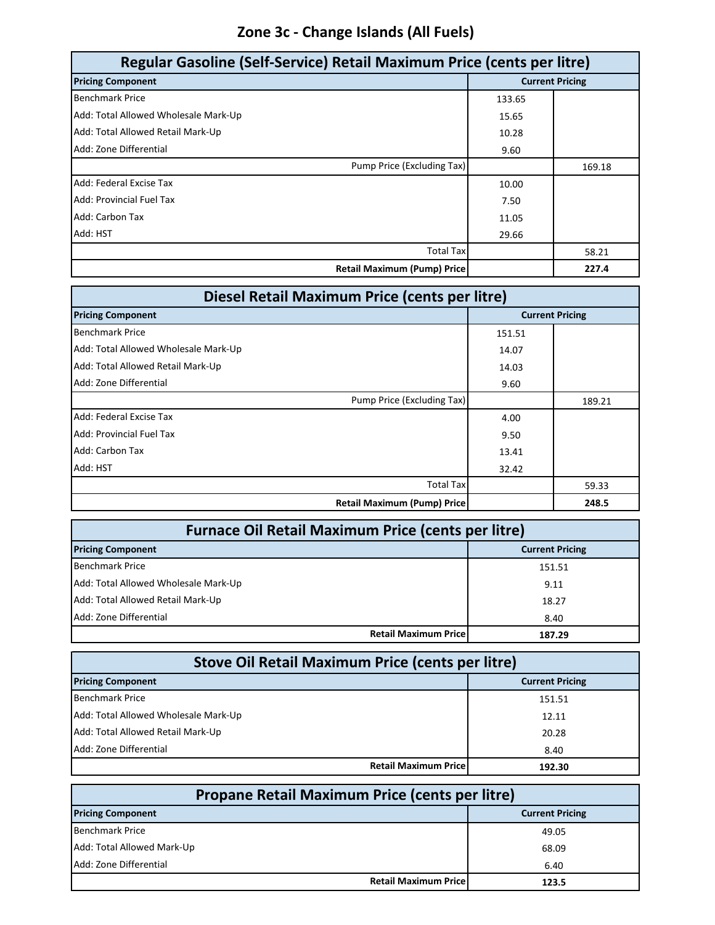### **Zone 3c - Change Islands (All Fuels)**

| Regular Gasoline (Self-Service) Retail Maximum Price (cents per litre) |        |                        |
|------------------------------------------------------------------------|--------|------------------------|
| <b>Pricing Component</b>                                               |        | <b>Current Pricing</b> |
| <b>Benchmark Price</b>                                                 | 133.65 |                        |
| Add: Total Allowed Wholesale Mark-Up                                   | 15.65  |                        |
| Add: Total Allowed Retail Mark-Up                                      | 10.28  |                        |
| Add: Zone Differential                                                 | 9.60   |                        |
| Pump Price (Excluding Tax)                                             |        | 169.18                 |
| Add: Federal Excise Tax                                                | 10.00  |                        |
| Add: Provincial Fuel Tax                                               | 7.50   |                        |
| Add: Carbon Tax                                                        | 11.05  |                        |
| Add: HST                                                               | 29.66  |                        |
| <b>Total Tax</b>                                                       |        | 58.21                  |
| <b>Retail Maximum (Pump) Price</b>                                     |        | 227.4                  |

| Diesel Retail Maximum Price (cents per litre) |                        |        |
|-----------------------------------------------|------------------------|--------|
| <b>Pricing Component</b>                      | <b>Current Pricing</b> |        |
| <b>Benchmark Price</b>                        | 151.51                 |        |
| Add: Total Allowed Wholesale Mark-Up          | 14.07                  |        |
| Add: Total Allowed Retail Mark-Up             | 14.03                  |        |
| Add: Zone Differential                        | 9.60                   |        |
| Pump Price (Excluding Tax)                    |                        | 189.21 |
| Add: Federal Excise Tax                       | 4.00                   |        |
| Add: Provincial Fuel Tax                      | 9.50                   |        |
| Add: Carbon Tax                               | 13.41                  |        |
| Add: HST                                      | 32.42                  |        |
| <b>Total Tax</b>                              |                        | 59.33  |
| <b>Retail Maximum (Pump) Price</b>            |                        | 248.5  |

| <b>Furnace Oil Retail Maximum Price (cents per litre)</b> |                                       |  |
|-----------------------------------------------------------|---------------------------------------|--|
| <b>Pricing Component</b>                                  | <b>Current Pricing</b>                |  |
| <b>Benchmark Price</b>                                    | 151.51                                |  |
| Add: Total Allowed Wholesale Mark-Up                      | 9.11                                  |  |
| Add: Total Allowed Retail Mark-Up                         | 18.27                                 |  |
| Add: Zone Differential                                    | 8.40                                  |  |
|                                                           | <b>Retail Maximum Price</b><br>187.29 |  |

| Stove Oil Retail Maximum Price (cents per litre) |                        |  |
|--------------------------------------------------|------------------------|--|
| <b>Pricing Component</b>                         | <b>Current Pricing</b> |  |
| <b>Benchmark Price</b>                           | 151.51                 |  |
| Add: Total Allowed Wholesale Mark-Up             | 12.11                  |  |
| Add: Total Allowed Retail Mark-Up                | 20.28                  |  |
| Add: Zone Differential                           | 8.40                   |  |
| <b>Retail Maximum Pricel</b>                     | 192.30                 |  |

| <b>Propane Retail Maximum Price (cents per litre)</b> |                        |  |
|-------------------------------------------------------|------------------------|--|
| <b>Pricing Component</b>                              | <b>Current Pricing</b> |  |
| <b>Benchmark Price</b>                                | 49.05                  |  |
| Add: Total Allowed Mark-Up                            | 68.09                  |  |
| Add: Zone Differential                                | 6.40                   |  |
| <b>Retail Maximum Price</b>                           | 123.5                  |  |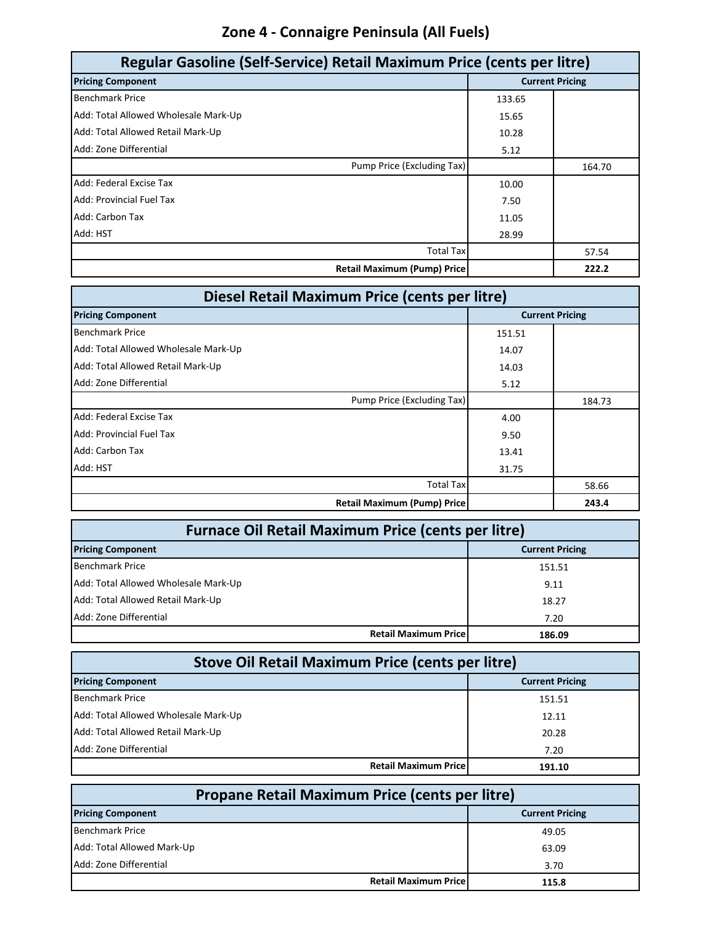### **Zone 4 - Connaigre Peninsula (All Fuels)**

| Regular Gasoline (Self-Service) Retail Maximum Price (cents per litre) |        |                        |
|------------------------------------------------------------------------|--------|------------------------|
| <b>Pricing Component</b>                                               |        | <b>Current Pricing</b> |
| <b>Benchmark Price</b>                                                 | 133.65 |                        |
| Add: Total Allowed Wholesale Mark-Up                                   | 15.65  |                        |
| Add: Total Allowed Retail Mark-Up                                      | 10.28  |                        |
| Add: Zone Differential                                                 | 5.12   |                        |
| Pump Price (Excluding Tax)                                             |        | 164.70                 |
| Add: Federal Excise Tax                                                | 10.00  |                        |
| <b>Add: Provincial Fuel Tax</b>                                        | 7.50   |                        |
| Add: Carbon Tax                                                        | 11.05  |                        |
| Add: HST                                                               | 28.99  |                        |
| <b>Total Tax</b>                                                       |        | 57.54                  |
| <b>Retail Maximum (Pump) Price</b>                                     |        | 222.2                  |

| Diesel Retail Maximum Price (cents per litre) |                        |        |
|-----------------------------------------------|------------------------|--------|
| <b>Pricing Component</b>                      | <b>Current Pricing</b> |        |
| <b>Benchmark Price</b>                        | 151.51                 |        |
| Add: Total Allowed Wholesale Mark-Up          | 14.07                  |        |
| Add: Total Allowed Retail Mark-Up             | 14.03                  |        |
| Add: Zone Differential                        | 5.12                   |        |
| Pump Price (Excluding Tax)                    |                        | 184.73 |
| Add: Federal Excise Tax                       | 4.00                   |        |
| Add: Provincial Fuel Tax                      | 9.50                   |        |
| Add: Carbon Tax                               | 13.41                  |        |
| Add: HST                                      | 31.75                  |        |
| <b>Total Tax</b>                              |                        | 58.66  |
| <b>Retail Maximum (Pump) Price</b>            |                        | 243.4  |

| <b>Furnace Oil Retail Maximum Price (cents per litre)</b> |                        |  |
|-----------------------------------------------------------|------------------------|--|
| <b>Pricing Component</b>                                  | <b>Current Pricing</b> |  |
| <b>Benchmark Price</b>                                    | 151.51                 |  |
| Add: Total Allowed Wholesale Mark-Up                      | 9.11                   |  |
| Add: Total Allowed Retail Mark-Up                         | 18.27                  |  |
| Add: Zone Differential                                    | 7.20                   |  |
| <b>Retail Maximum Pricel</b>                              | 186.09                 |  |

| <b>Stove Oil Retail Maximum Price (cents per litre)</b> |                        |  |
|---------------------------------------------------------|------------------------|--|
| <b>Pricing Component</b>                                | <b>Current Pricing</b> |  |
| <b>Benchmark Price</b>                                  | 151.51                 |  |
| Add: Total Allowed Wholesale Mark-Up                    | 12.11                  |  |
| Add: Total Allowed Retail Mark-Up                       | 20.28                  |  |
| Add: Zone Differential                                  | 7.20                   |  |
| <b>Retail Maximum Pricel</b>                            | 191.10                 |  |

| <b>Propane Retail Maximum Price (cents per litre)</b> |                        |  |
|-------------------------------------------------------|------------------------|--|
| <b>Pricing Component</b>                              | <b>Current Pricing</b> |  |
| <b>Benchmark Price</b>                                | 49.05                  |  |
| Add: Total Allowed Mark-Up                            | 63.09                  |  |
| Add: Zone Differential                                | 3.70                   |  |
| <b>Retail Maximum Price</b>                           | 115.8                  |  |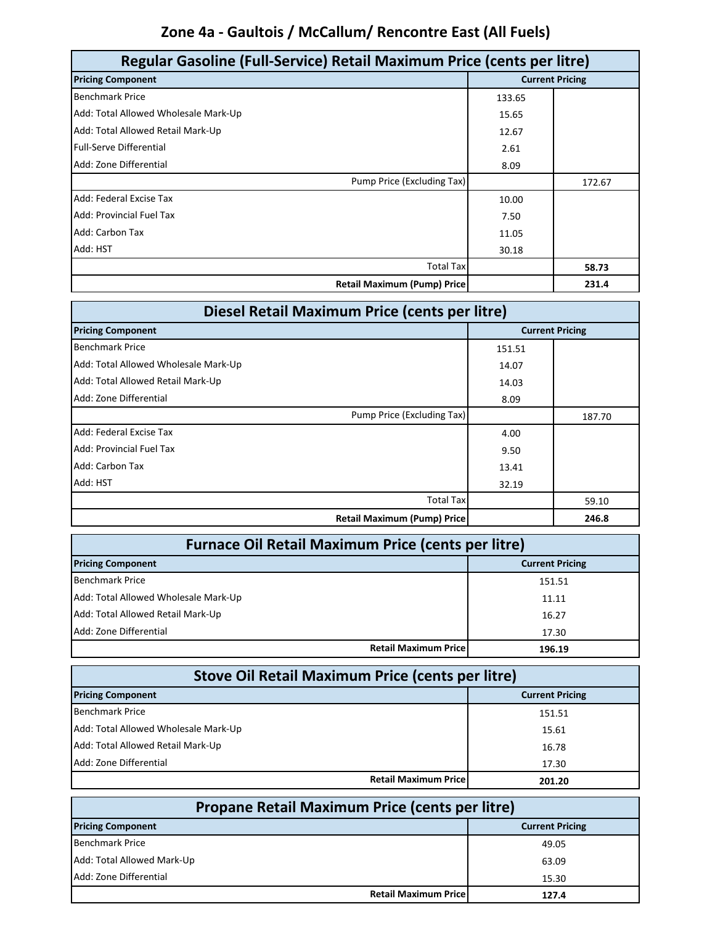# **Zone 4a - Gaultois / McCallum/ Rencontre East (All Fuels)**

| Regular Gasoline (Full-Service) Retail Maximum Price (cents per litre) |                        |        |
|------------------------------------------------------------------------|------------------------|--------|
| <b>Pricing Component</b>                                               | <b>Current Pricing</b> |        |
| <b>Benchmark Price</b>                                                 | 133.65                 |        |
| Add: Total Allowed Wholesale Mark-Up                                   | 15.65                  |        |
| Add: Total Allowed Retail Mark-Up                                      | 12.67                  |        |
| <b>Full-Serve Differential</b>                                         | 2.61                   |        |
| Add: Zone Differential                                                 | 8.09                   |        |
| Pump Price (Excluding Tax)                                             |                        | 172.67 |
| Add: Federal Excise Tax                                                | 10.00                  |        |
| <b>Add: Provincial Fuel Tax</b>                                        | 7.50                   |        |
| Add: Carbon Tax                                                        | 11.05                  |        |
| Add: HST                                                               | 30.18                  |        |
| <b>Total Tax</b>                                                       |                        | 58.73  |
| <b>Retail Maximum (Pump) Price</b>                                     |                        | 231.4  |

| Diesel Retail Maximum Price (cents per litre) |        |                        |
|-----------------------------------------------|--------|------------------------|
| <b>Pricing Component</b>                      |        | <b>Current Pricing</b> |
| <b>Benchmark Price</b>                        | 151.51 |                        |
| Add: Total Allowed Wholesale Mark-Up          | 14.07  |                        |
| Add: Total Allowed Retail Mark-Up             | 14.03  |                        |
| Add: Zone Differential                        | 8.09   |                        |
| Pump Price (Excluding Tax)                    |        | 187.70                 |
| Add: Federal Excise Tax                       | 4.00   |                        |
| Add: Provincial Fuel Tax                      | 9.50   |                        |
| Add: Carbon Tax                               | 13.41  |                        |
| Add: HST                                      | 32.19  |                        |
| <b>Total Tax</b>                              |        | 59.10                  |
| <b>Retail Maximum (Pump) Price</b>            |        | 246.8                  |

| <b>Furnace Oil Retail Maximum Price (cents per litre)</b> |                                        |  |
|-----------------------------------------------------------|----------------------------------------|--|
| <b>Pricing Component</b><br><b>Current Pricing</b>        |                                        |  |
| <b>Benchmark Price</b>                                    | 151.51                                 |  |
| Add: Total Allowed Wholesale Mark-Up                      | 11.11                                  |  |
| Add: Total Allowed Retail Mark-Up                         | 16.27                                  |  |
| Add: Zone Differential                                    | 17.30                                  |  |
|                                                           | <b>Retail Maximum Pricel</b><br>196.19 |  |

| <b>Stove Oil Retail Maximum Price (cents per litre)</b> |                                       |  |
|---------------------------------------------------------|---------------------------------------|--|
| <b>Pricing Component</b><br><b>Current Pricing</b>      |                                       |  |
| <b>Benchmark Price</b>                                  | 151.51                                |  |
| Add: Total Allowed Wholesale Mark-Up                    | 15.61                                 |  |
| Add: Total Allowed Retail Mark-Up                       | 16.78                                 |  |
| Add: Zone Differential                                  | 17.30                                 |  |
|                                                         | <b>Retail Maximum Price</b><br>201.20 |  |

| <b>Propane Retail Maximum Price (cents per litre)</b> |                              |       |
|-------------------------------------------------------|------------------------------|-------|
| <b>Pricing Component</b><br><b>Current Pricing</b>    |                              |       |
| Benchmark Price                                       |                              | 49.05 |
| Add: Total Allowed Mark-Up                            |                              | 63.09 |
| Add: Zone Differential                                |                              | 15.30 |
|                                                       | <b>Retail Maximum Pricel</b> | 127.4 |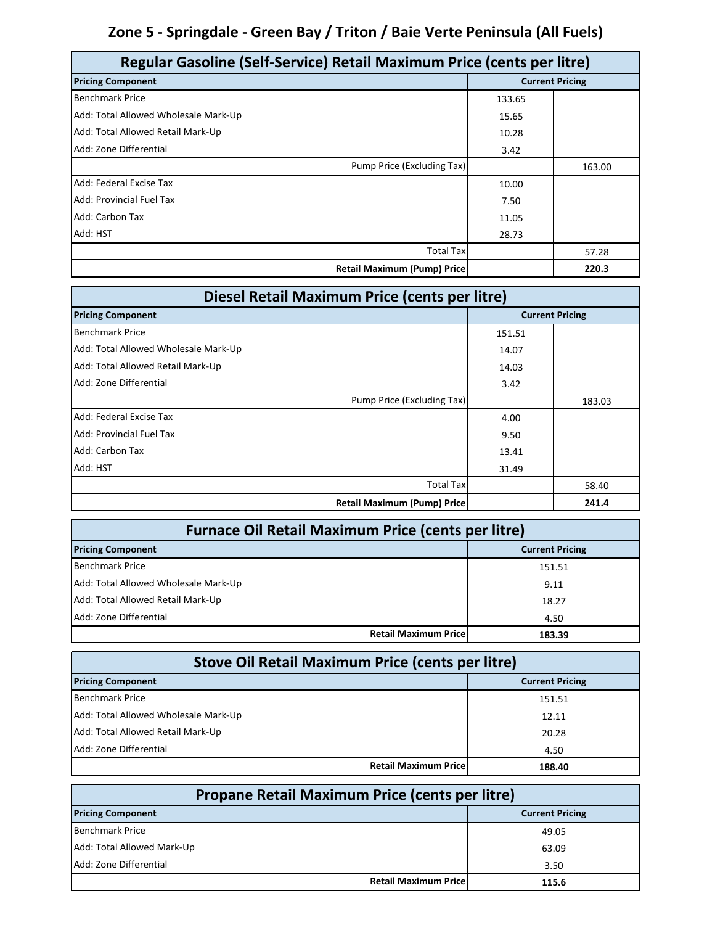# **Zone 5 - Springdale - Green Bay / Triton / Baie Verte Peninsula (All Fuels)**

| Regular Gasoline (Self-Service) Retail Maximum Price (cents per litre) |        |                        |
|------------------------------------------------------------------------|--------|------------------------|
| <b>Pricing Component</b>                                               |        | <b>Current Pricing</b> |
| <b>Benchmark Price</b>                                                 | 133.65 |                        |
| Add: Total Allowed Wholesale Mark-Up                                   | 15.65  |                        |
| Add: Total Allowed Retail Mark-Up                                      | 10.28  |                        |
| Add: Zone Differential                                                 | 3.42   |                        |
| Pump Price (Excluding Tax)                                             |        | 163.00                 |
| Add: Federal Excise Tax                                                | 10.00  |                        |
| Add: Provincial Fuel Tax                                               | 7.50   |                        |
| Add: Carbon Tax                                                        | 11.05  |                        |
| Add: HST                                                               | 28.73  |                        |
| <b>Total Tax</b>                                                       |        | 57.28                  |
| <b>Retail Maximum (Pump) Price</b>                                     |        | 220.3                  |

| Diesel Retail Maximum Price (cents per litre) |        |                        |
|-----------------------------------------------|--------|------------------------|
| <b>Pricing Component</b>                      |        | <b>Current Pricing</b> |
| <b>Benchmark Price</b>                        | 151.51 |                        |
| Add: Total Allowed Wholesale Mark-Up          | 14.07  |                        |
| Add: Total Allowed Retail Mark-Up             | 14.03  |                        |
| Add: Zone Differential                        | 3.42   |                        |
| Pump Price (Excluding Tax)                    |        | 183.03                 |
| Add: Federal Excise Tax                       | 4.00   |                        |
| Add: Provincial Fuel Tax                      | 9.50   |                        |
| Add: Carbon Tax                               | 13.41  |                        |
| Add: HST                                      | 31.49  |                        |
| <b>Total Tax</b>                              |        | 58.40                  |
| <b>Retail Maximum (Pump) Price</b>            |        | 241.4                  |

| <b>Furnace Oil Retail Maximum Price (cents per litre)</b> |                                       |  |
|-----------------------------------------------------------|---------------------------------------|--|
| <b>Current Pricing</b><br><b>Pricing Component</b>        |                                       |  |
| <b>Benchmark Price</b>                                    | 151.51                                |  |
| Add: Total Allowed Wholesale Mark-Up                      | 9.11                                  |  |
| Add: Total Allowed Retail Mark-Up                         | 18.27                                 |  |
| Add: Zone Differential                                    | 4.50                                  |  |
|                                                           | <b>Retail Maximum Price</b><br>183.39 |  |

| <b>Stove Oil Retail Maximum Price (cents per litre)</b> |                        |  |
|---------------------------------------------------------|------------------------|--|
| <b>Pricing Component</b>                                | <b>Current Pricing</b> |  |
| <b>Benchmark Price</b>                                  | 151.51                 |  |
| Add: Total Allowed Wholesale Mark-Up                    | 12.11                  |  |
| Add: Total Allowed Retail Mark-Up                       | 20.28                  |  |
| Add: Zone Differential                                  | 4.50                   |  |
| <b>Retail Maximum Pricel</b>                            | 188.40                 |  |

| <b>Propane Retail Maximum Price (cents per litre)</b> |       |  |  |
|-------------------------------------------------------|-------|--|--|
| <b>Pricing Component</b><br><b>Current Pricing</b>    |       |  |  |
| <b>Benchmark Price</b>                                | 49.05 |  |  |
| Add: Total Allowed Mark-Up                            | 63.09 |  |  |
| Add: Zone Differential                                | 3.50  |  |  |
| <b>Retail Maximum Price</b>                           | 115.6 |  |  |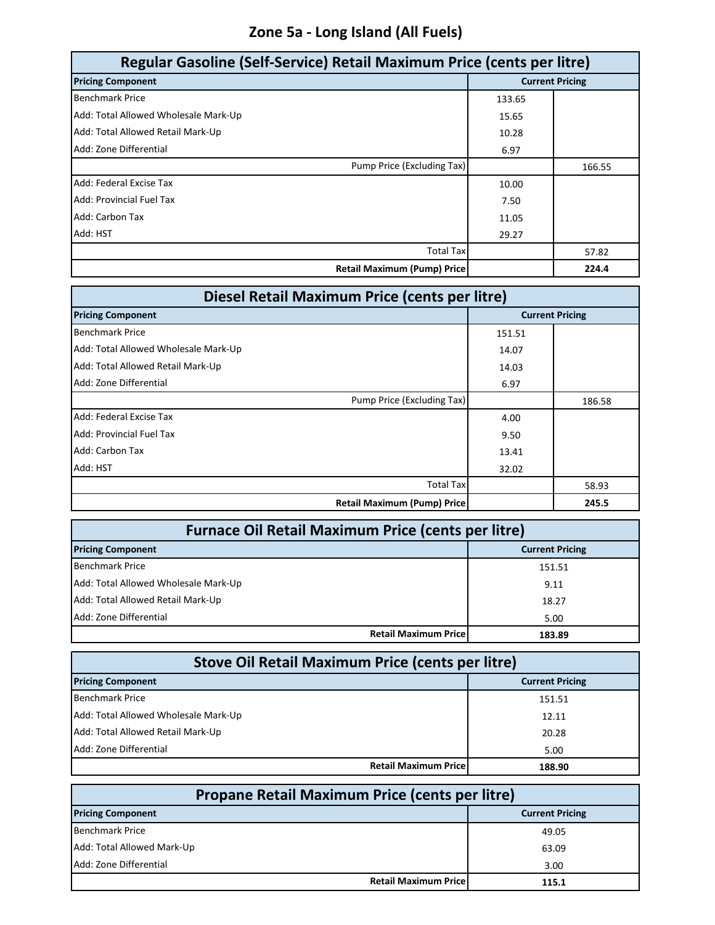# **Zone 5a - Long Island (All Fuels)**

| Regular Gasoline (Self-Service) Retail Maximum Price (cents per litre) |        |                        |
|------------------------------------------------------------------------|--------|------------------------|
| <b>Pricing Component</b>                                               |        | <b>Current Pricing</b> |
| <b>Benchmark Price</b>                                                 | 133.65 |                        |
| Add: Total Allowed Wholesale Mark-Up                                   | 15.65  |                        |
| Add: Total Allowed Retail Mark-Up                                      | 10.28  |                        |
| Add: Zone Differential                                                 | 6.97   |                        |
| Pump Price (Excluding Tax)                                             |        | 166.55                 |
| Add: Federal Excise Tax                                                | 10.00  |                        |
| Add: Provincial Fuel Tax                                               | 7.50   |                        |
| Add: Carbon Tax                                                        | 11.05  |                        |
| Add: HST                                                               | 29.27  |                        |
| <b>Total Tax</b>                                                       |        | 57.82                  |
| <b>Retail Maximum (Pump) Price</b>                                     |        | 224.4                  |

| Diesel Retail Maximum Price (cents per litre) |        |                        |
|-----------------------------------------------|--------|------------------------|
| <b>Pricing Component</b>                      |        | <b>Current Pricing</b> |
| <b>Benchmark Price</b>                        | 151.51 |                        |
| Add: Total Allowed Wholesale Mark-Up          | 14.07  |                        |
| Add: Total Allowed Retail Mark-Up             | 14.03  |                        |
| Add: Zone Differential                        | 6.97   |                        |
| Pump Price (Excluding Tax)                    |        | 186.58                 |
| Add: Federal Excise Tax                       | 4.00   |                        |
| Add: Provincial Fuel Tax                      | 9.50   |                        |
| Add: Carbon Tax                               | 13.41  |                        |
| Add: HST                                      | 32.02  |                        |
| <b>Total Tax</b>                              |        | 58.93                  |
| <b>Retail Maximum (Pump) Price</b>            |        | 245.5                  |

| <b>Furnace Oil Retail Maximum Price (cents per litre)</b> |                             |        |
|-----------------------------------------------------------|-----------------------------|--------|
| <b>Pricing Component</b><br><b>Current Pricing</b>        |                             |        |
| <b>Benchmark Price</b>                                    |                             | 151.51 |
| Add: Total Allowed Wholesale Mark-Up                      |                             | 9.11   |
| Add: Total Allowed Retail Mark-Up                         |                             | 18.27  |
| Add: Zone Differential                                    |                             | 5.00   |
|                                                           | <b>Retail Maximum Price</b> | 183.89 |

| <b>Stove Oil Retail Maximum Price (cents per litre)</b> |                        |  |  |
|---------------------------------------------------------|------------------------|--|--|
| <b>Pricing Component</b>                                | <b>Current Pricing</b> |  |  |
| <b>Benchmark Price</b>                                  | 151.51                 |  |  |
| Add: Total Allowed Wholesale Mark-Up                    | 12.11                  |  |  |
| Add: Total Allowed Retail Mark-Up                       | 20.28                  |  |  |
| Add: Zone Differential                                  | 5.00                   |  |  |
| <b>Retail Maximum Pricel</b>                            | 188.90                 |  |  |

| <b>Propane Retail Maximum Price (cents per litre)</b> |       |  |  |
|-------------------------------------------------------|-------|--|--|
| <b>Pricing Component</b><br><b>Current Pricing</b>    |       |  |  |
| <b>Benchmark Price</b>                                | 49.05 |  |  |
| Add: Total Allowed Mark-Up                            | 63.09 |  |  |
| Add: Zone Differential                                | 3.00  |  |  |
| <b>Retail Maximum Price</b>                           | 115.1 |  |  |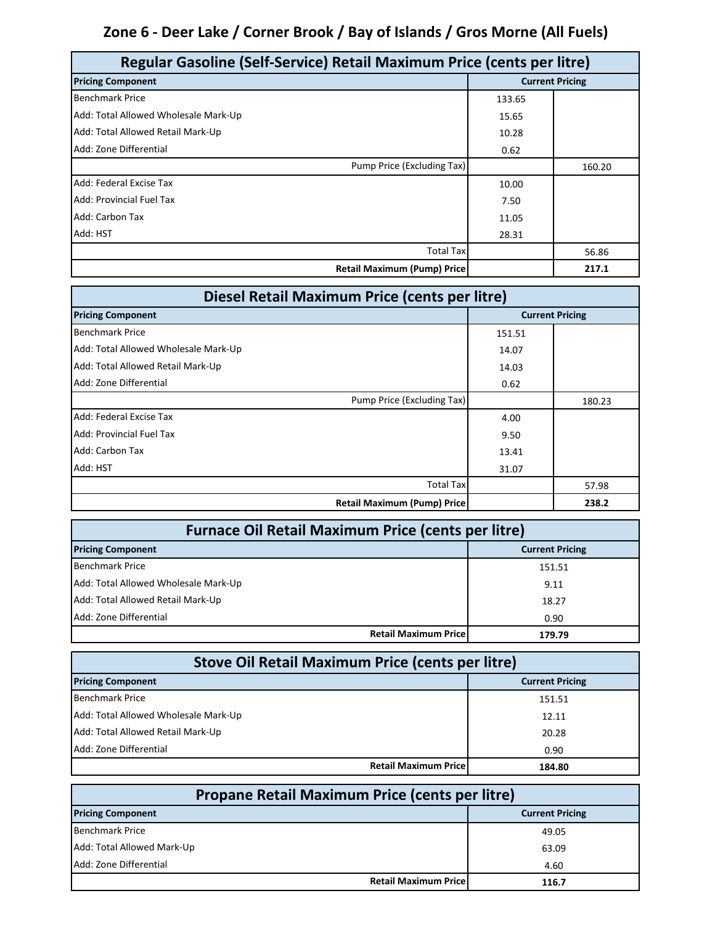### **Zone 6 - Deer Lake / Corner Brook / Bay of Islands / Gros Morne (All Fuels)**

| Regular Gasoline (Self-Service) Retail Maximum Price (cents per litre) |        |                        |
|------------------------------------------------------------------------|--------|------------------------|
| <b>Pricing Component</b>                                               |        | <b>Current Pricing</b> |
| <b>Benchmark Price</b>                                                 | 133.65 |                        |
| Add: Total Allowed Wholesale Mark-Up                                   | 15.65  |                        |
| Add: Total Allowed Retail Mark-Up                                      | 10.28  |                        |
| Add: Zone Differential                                                 | 0.62   |                        |
| Pump Price (Excluding Tax)                                             |        | 160.20                 |
| Add: Federal Excise Tax                                                | 10.00  |                        |
| Add: Provincial Fuel Tax                                               | 7.50   |                        |
| Add: Carbon Tax                                                        | 11.05  |                        |
| Add: HST                                                               | 28.31  |                        |
| <b>Total Tax</b>                                                       |        | 56.86                  |
| <b>Retail Maximum (Pump) Price</b>                                     |        | 217.1                  |

| Diesel Retail Maximum Price (cents per litre) |        |                        |
|-----------------------------------------------|--------|------------------------|
| <b>Pricing Component</b>                      |        | <b>Current Pricing</b> |
| <b>Benchmark Price</b>                        | 151.51 |                        |
| Add: Total Allowed Wholesale Mark-Up          | 14.07  |                        |
| Add: Total Allowed Retail Mark-Up             | 14.03  |                        |
| Add: Zone Differential                        | 0.62   |                        |
| Pump Price (Excluding Tax)                    |        | 180.23                 |
| Add: Federal Excise Tax                       | 4.00   |                        |
| Add: Provincial Fuel Tax                      | 9.50   |                        |
| Add: Carbon Tax                               | 13.41  |                        |
| Add: HST                                      | 31.07  |                        |
| <b>Total Tax</b>                              |        | 57.98                  |
| <b>Retail Maximum (Pump) Price</b>            |        | 238.2                  |

| <b>Furnace Oil Retail Maximum Price (cents per litre)</b> |                                       |  |
|-----------------------------------------------------------|---------------------------------------|--|
| <b>Current Pricing</b><br><b>Pricing Component</b>        |                                       |  |
| <b>Benchmark Price</b>                                    | 151.51                                |  |
| Add: Total Allowed Wholesale Mark-Up                      | 9.11                                  |  |
| Add: Total Allowed Retail Mark-Up                         | 18.27                                 |  |
| Add: Zone Differential                                    | 0.90                                  |  |
|                                                           | <b>Retail Maximum Price</b><br>179.79 |  |

| <b>Stove Oil Retail Maximum Price (cents per litre)</b> |        |  |
|---------------------------------------------------------|--------|--|
| <b>Pricing Component</b><br><b>Current Pricing</b>      |        |  |
| <b>Benchmark Price</b>                                  | 151.51 |  |
| Add: Total Allowed Wholesale Mark-Up                    | 12.11  |  |
| Add: Total Allowed Retail Mark-Up                       | 20.28  |  |
| Add: Zone Differential                                  | 0.90   |  |
| <b>Retail Maximum Pricel</b>                            | 184.80 |  |

| <b>Propane Retail Maximum Price (cents per litre)</b> |       |  |  |
|-------------------------------------------------------|-------|--|--|
| <b>Pricing Component</b><br><b>Current Pricing</b>    |       |  |  |
| <b>Benchmark Price</b>                                | 49.05 |  |  |
| Add: Total Allowed Mark-Up                            | 63.09 |  |  |
| Add: Zone Differential                                | 4.60  |  |  |
| <b>Retail Maximum Price</b>                           | 116.7 |  |  |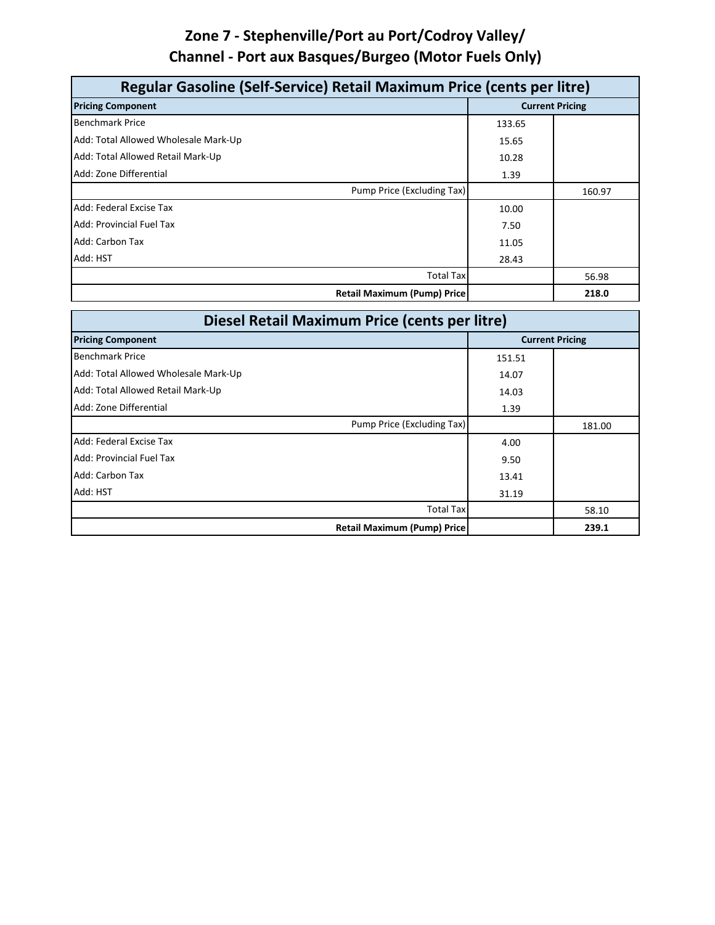### **Zone 7 - Stephenville/Port au Port/Codroy Valley/ Channel - Port aux Basques/Burgeo (Motor Fuels Only)**

| Regular Gasoline (Self-Service) Retail Maximum Price (cents per litre) |        |                        |
|------------------------------------------------------------------------|--------|------------------------|
| <b>Pricing Component</b>                                               |        | <b>Current Pricing</b> |
| <b>Benchmark Price</b>                                                 | 133.65 |                        |
| Add: Total Allowed Wholesale Mark-Up                                   | 15.65  |                        |
| Add: Total Allowed Retail Mark-Up                                      | 10.28  |                        |
| Add: Zone Differential                                                 | 1.39   |                        |
| Pump Price (Excluding Tax)                                             |        | 160.97                 |
| Add: Federal Excise Tax                                                | 10.00  |                        |
| Add: Provincial Fuel Tax                                               | 7.50   |                        |
| Add: Carbon Tax                                                        | 11.05  |                        |
| Add: HST                                                               | 28.43  |                        |
| <b>Total Tax</b>                                                       |        | 56.98                  |
| <b>Retail Maximum (Pump) Price</b>                                     |        | 218.0                  |

| Diesel Retail Maximum Price (cents per litre) |        |                        |
|-----------------------------------------------|--------|------------------------|
| <b>Pricing Component</b>                      |        | <b>Current Pricing</b> |
| <b>Benchmark Price</b>                        | 151.51 |                        |
| Add: Total Allowed Wholesale Mark-Up          | 14.07  |                        |
| Add: Total Allowed Retail Mark-Up             | 14.03  |                        |
| Add: Zone Differential                        | 1.39   |                        |
| Pump Price (Excluding Tax)                    |        | 181.00                 |
| Add: Federal Excise Tax                       | 4.00   |                        |
| Add: Provincial Fuel Tax                      | 9.50   |                        |
| Add: Carbon Tax                               | 13.41  |                        |
| Add: HST                                      | 31.19  |                        |
| <b>Total Tax</b>                              |        | 58.10                  |
| <b>Retail Maximum (Pump) Price</b>            |        | 239.1                  |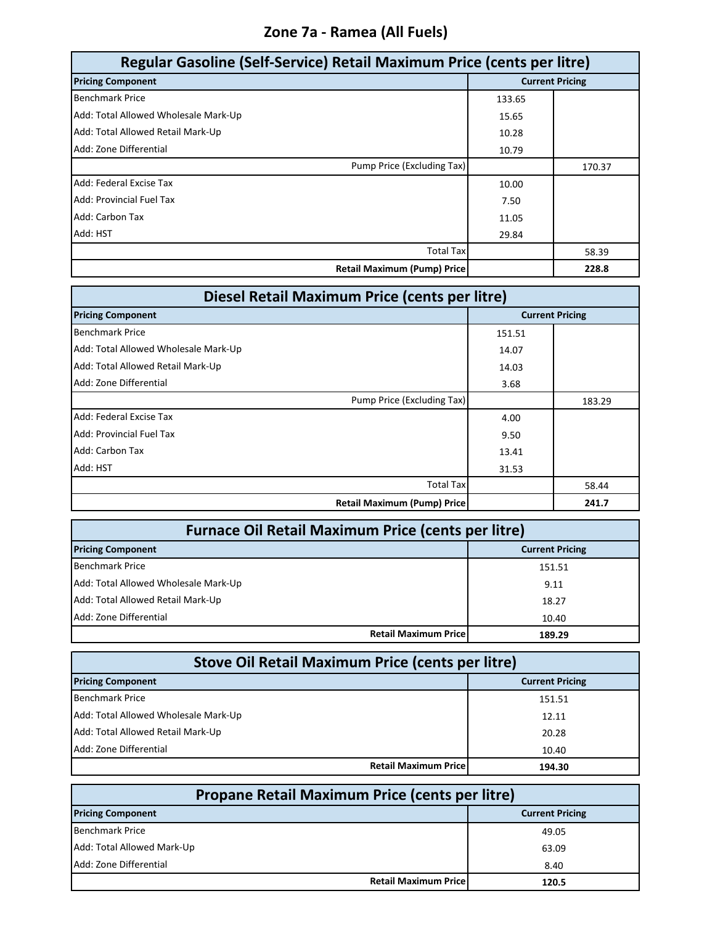#### **Zone 7a - Ramea (All Fuels)**

| Regular Gasoline (Self-Service) Retail Maximum Price (cents per litre) |        |                        |
|------------------------------------------------------------------------|--------|------------------------|
| <b>Pricing Component</b>                                               |        | <b>Current Pricing</b> |
| <b>Benchmark Price</b>                                                 | 133.65 |                        |
| Add: Total Allowed Wholesale Mark-Up                                   | 15.65  |                        |
| Add: Total Allowed Retail Mark-Up                                      | 10.28  |                        |
| Add: Zone Differential                                                 | 10.79  |                        |
| Pump Price (Excluding Tax)                                             |        | 170.37                 |
| Add: Federal Excise Tax                                                | 10.00  |                        |
| Add: Provincial Fuel Tax                                               | 7.50   |                        |
| Add: Carbon Tax                                                        | 11.05  |                        |
| Add: HST                                                               | 29.84  |                        |
| <b>Total Tax</b>                                                       |        | 58.39                  |
| <b>Retail Maximum (Pump) Price</b>                                     |        | 228.8                  |

| Diesel Retail Maximum Price (cents per litre) |        |                        |
|-----------------------------------------------|--------|------------------------|
| <b>Pricing Component</b>                      |        | <b>Current Pricing</b> |
| <b>Benchmark Price</b>                        | 151.51 |                        |
| Add: Total Allowed Wholesale Mark-Up          | 14.07  |                        |
| Add: Total Allowed Retail Mark-Up             | 14.03  |                        |
| Add: Zone Differential                        | 3.68   |                        |
| Pump Price (Excluding Tax)                    |        | 183.29                 |
| Add: Federal Excise Tax                       | 4.00   |                        |
| Add: Provincial Fuel Tax                      | 9.50   |                        |
| Add: Carbon Tax                               | 13.41  |                        |
| Add: HST                                      | 31.53  |                        |
| <b>Total Tax</b>                              |        | 58.44                  |
| <b>Retail Maximum (Pump) Price</b>            |        | 241.7                  |

| <b>Furnace Oil Retail Maximum Price (cents per litre)</b> |                                       |  |
|-----------------------------------------------------------|---------------------------------------|--|
| <b>Current Pricing</b><br><b>Pricing Component</b>        |                                       |  |
| <b>Benchmark Price</b>                                    | 151.51                                |  |
| Add: Total Allowed Wholesale Mark-Up                      | 9.11                                  |  |
| Add: Total Allowed Retail Mark-Up                         | 18.27                                 |  |
| Add: Zone Differential                                    | 10.40                                 |  |
|                                                           | <b>Retail Maximum Price</b><br>189.29 |  |

| <b>Stove Oil Retail Maximum Price (cents per litre)</b> |        |  |
|---------------------------------------------------------|--------|--|
| <b>Pricing Component</b><br><b>Current Pricing</b>      |        |  |
| <b>Benchmark Price</b>                                  | 151.51 |  |
| Add: Total Allowed Wholesale Mark-Up                    | 12.11  |  |
| Add: Total Allowed Retail Mark-Up                       | 20.28  |  |
| Add: Zone Differential                                  | 10.40  |  |
| <b>Retail Maximum Pricel</b>                            | 194.30 |  |

| <b>Propane Retail Maximum Price (cents per litre)</b> |                        |  |
|-------------------------------------------------------|------------------------|--|
| <b>Pricing Component</b>                              | <b>Current Pricing</b> |  |
| <b>Benchmark Price</b>                                | 49.05                  |  |
| Add: Total Allowed Mark-Up                            | 63.09                  |  |
| Add: Zone Differential                                | 8.40                   |  |
| <b>Retail Maximum Price</b>                           | 120.5                  |  |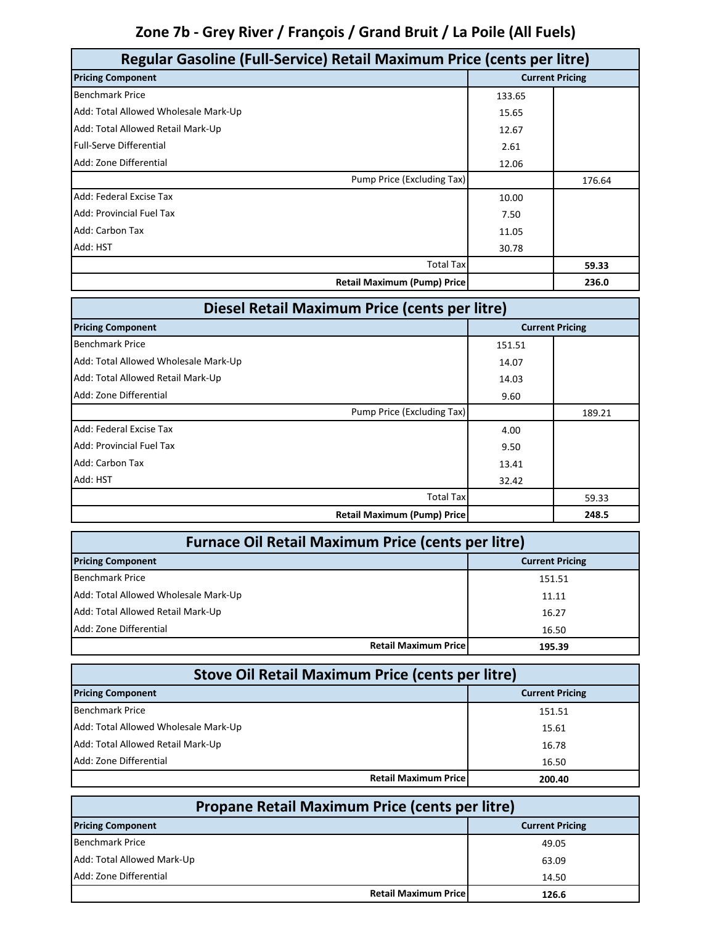# **Zone 7b - Grey River / François / Grand Bruit / La Poile (All Fuels)**

| Regular Gasoline (Full-Service) Retail Maximum Price (cents per litre) |        |                        |
|------------------------------------------------------------------------|--------|------------------------|
| <b>Pricing Component</b>                                               |        | <b>Current Pricing</b> |
| <b>Benchmark Price</b>                                                 | 133.65 |                        |
| Add: Total Allowed Wholesale Mark-Up                                   | 15.65  |                        |
| Add: Total Allowed Retail Mark-Up                                      | 12.67  |                        |
| <b>Full-Serve Differential</b>                                         | 2.61   |                        |
| Add: Zone Differential                                                 | 12.06  |                        |
| Pump Price (Excluding Tax)                                             |        | 176.64                 |
| Add: Federal Excise Tax                                                | 10.00  |                        |
| <b>Add: Provincial Fuel Tax</b>                                        | 7.50   |                        |
| Add: Carbon Tax                                                        | 11.05  |                        |
| Add: HST                                                               | 30.78  |                        |
| Total Tax                                                              |        | 59.33                  |
| <b>Retail Maximum (Pump) Price</b>                                     |        | 236.0                  |

| Diesel Retail Maximum Price (cents per litre) |        |                        |
|-----------------------------------------------|--------|------------------------|
| <b>Pricing Component</b>                      |        | <b>Current Pricing</b> |
| <b>Benchmark Price</b>                        | 151.51 |                        |
| Add: Total Allowed Wholesale Mark-Up          | 14.07  |                        |
| Add: Total Allowed Retail Mark-Up             | 14.03  |                        |
| Add: Zone Differential                        | 9.60   |                        |
| Pump Price (Excluding Tax)                    |        | 189.21                 |
| Add: Federal Excise Tax                       | 4.00   |                        |
| <b>Add: Provincial Fuel Tax</b>               | 9.50   |                        |
| Add: Carbon Tax                               | 13.41  |                        |
| Add: HST                                      | 32.42  |                        |
| <b>Total Tax</b>                              |        | 59.33                  |
| <b>Retail Maximum (Pump) Price</b>            |        | 248.5                  |

| <b>Furnace Oil Retail Maximum Price (cents per litre)</b> |                              |                        |
|-----------------------------------------------------------|------------------------------|------------------------|
| <b>Pricing Component</b>                                  |                              | <b>Current Pricing</b> |
| <b>Benchmark Price</b>                                    |                              | 151.51                 |
| Add: Total Allowed Wholesale Mark-Up                      |                              | 11.11                  |
| Add: Total Allowed Retail Mark-Up                         |                              | 16.27                  |
| Add: Zone Differential                                    |                              | 16.50                  |
|                                                           | <b>Retail Maximum Pricel</b> | 195.39                 |

| <b>Stove Oil Retail Maximum Price (cents per litre)</b> |                        |  |
|---------------------------------------------------------|------------------------|--|
| <b>Pricing Component</b>                                | <b>Current Pricing</b> |  |
| <b>Benchmark Price</b>                                  | 151.51                 |  |
| Add: Total Allowed Wholesale Mark-Up                    | 15.61                  |  |
| Add: Total Allowed Retail Mark-Up                       | 16.78                  |  |
| Add: Zone Differential                                  | 16.50                  |  |
| <b>Retail Maximum Price</b>                             | 200.40                 |  |

| Propane Retail Maximum Price (cents per litre) |                              |                        |
|------------------------------------------------|------------------------------|------------------------|
| <b>Pricing Component</b>                       |                              | <b>Current Pricing</b> |
| <b>Benchmark Price</b>                         |                              | 49.05                  |
| Add: Total Allowed Mark-Up                     |                              | 63.09                  |
| Add: Zone Differential                         |                              | 14.50                  |
|                                                | <b>Retail Maximum Pricel</b> | 126.6                  |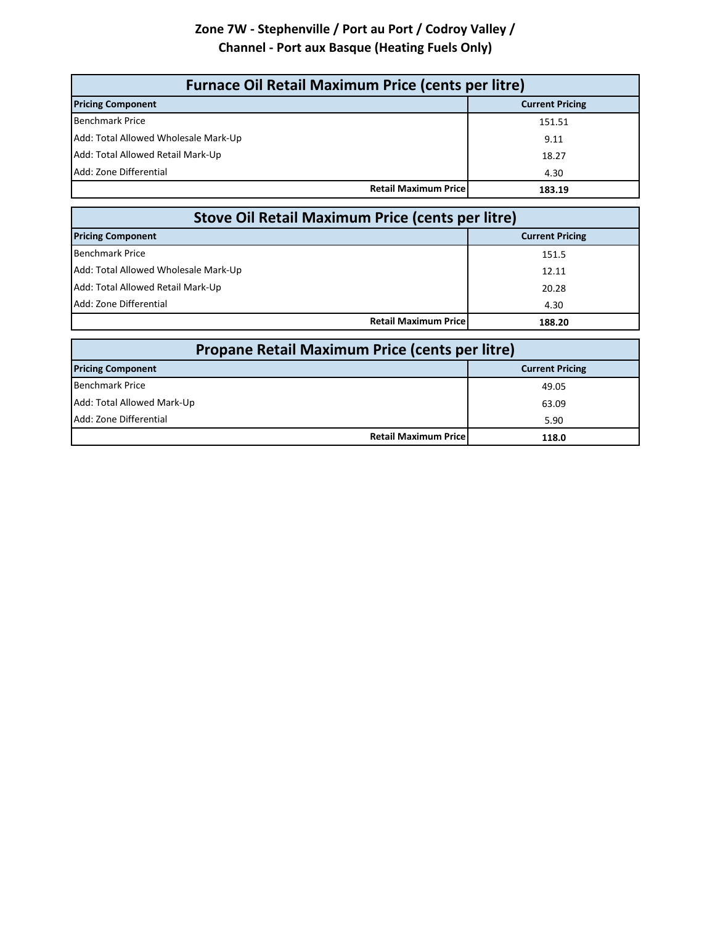#### **Zone 7W - Stephenville / Port au Port / Codroy Valley / Channel - Port aux Basque (Heating Fuels Only)**

| <b>Furnace Oil Retail Maximum Price (cents per litre)</b> |                        |  |
|-----------------------------------------------------------|------------------------|--|
| <b>Pricing Component</b>                                  | <b>Current Pricing</b> |  |
| <b>Benchmark Price</b>                                    | 151.51                 |  |
| Add: Total Allowed Wholesale Mark-Up                      | 9.11                   |  |
| Add: Total Allowed Retail Mark-Up                         | 18.27                  |  |
| Add: Zone Differential                                    | 4.30                   |  |
| <b>Retail Maximum Price</b>                               | 183.19                 |  |

| <b>Stove Oil Retail Maximum Price (cents per litre)</b> |                        |  |
|---------------------------------------------------------|------------------------|--|
| <b>Pricing Component</b>                                | <b>Current Pricing</b> |  |
| <b>Benchmark Price</b>                                  | 151.5                  |  |
| Add: Total Allowed Wholesale Mark-Up                    | 12.11                  |  |
| Add: Total Allowed Retail Mark-Up                       | 20.28                  |  |
| Add: Zone Differential                                  | 4.30                   |  |
| <b>Retail Maximum Pricel</b>                            | 188.20                 |  |

| Propane Retail Maximum Price (cents per litre) |                        |  |
|------------------------------------------------|------------------------|--|
| <b>Pricing Component</b>                       | <b>Current Pricing</b> |  |
| <b>Benchmark Price</b>                         | 49.05                  |  |
| Add: Total Allowed Mark-Up                     | 63.09                  |  |
| Add: Zone Differential                         | 5.90                   |  |
| <b>Retail Maximum Pricel</b>                   | 118.0                  |  |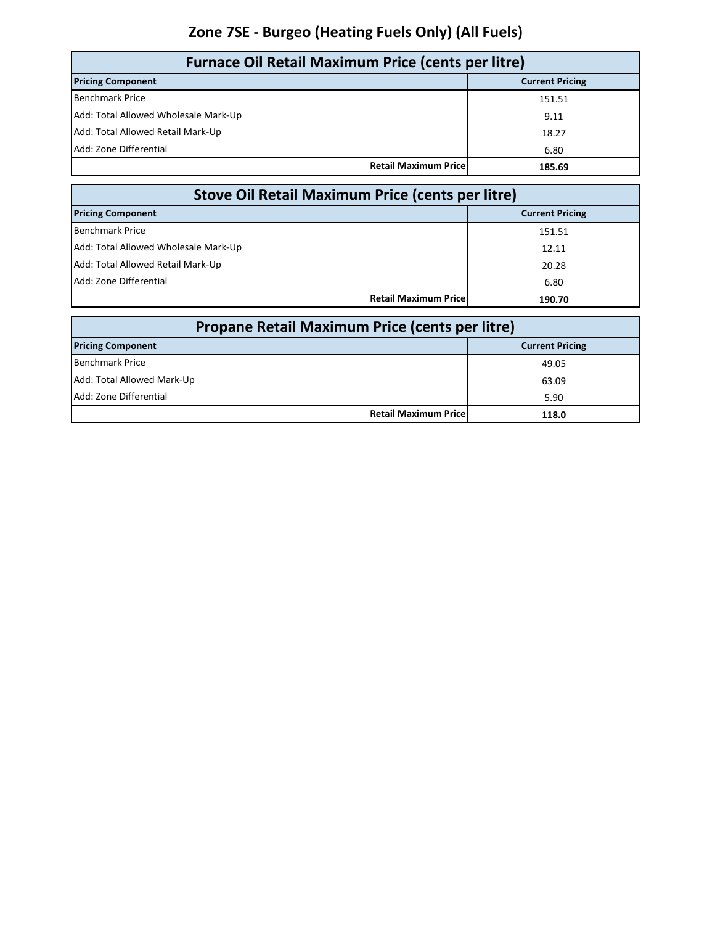# **Zone 7SE - Burgeo (Heating Fuels Only) (All Fuels)**

| <b>Furnace Oil Retail Maximum Price (cents per litre)</b> |                        |  |
|-----------------------------------------------------------|------------------------|--|
| <b>Pricing Component</b>                                  | <b>Current Pricing</b> |  |
| <b>Benchmark Price</b>                                    | 151.51                 |  |
| Add: Total Allowed Wholesale Mark-Up                      | 9.11                   |  |
| Add: Total Allowed Retail Mark-Up                         | 18.27                  |  |
| Add: Zone Differential                                    | 6.80                   |  |
| <b>Retail Maximum Pricel</b>                              | 185.69                 |  |

| <b>Stove Oil Retail Maximum Price (cents per litre)</b> |                        |  |
|---------------------------------------------------------|------------------------|--|
| <b>Pricing Component</b>                                | <b>Current Pricing</b> |  |
| <b>Benchmark Price</b>                                  | 151.51                 |  |
| Add: Total Allowed Wholesale Mark-Up                    | 12.11                  |  |
| Add: Total Allowed Retail Mark-Up                       | 20.28                  |  |
| Add: Zone Differential                                  | 6.80                   |  |
| <b>Retail Maximum Pricel</b>                            | 190.70                 |  |

| Propane Retail Maximum Price (cents per litre) |                              |                        |
|------------------------------------------------|------------------------------|------------------------|
| <b>Pricing Component</b>                       |                              | <b>Current Pricing</b> |
| <b>Benchmark Price</b>                         |                              | 49.05                  |
| Add: Total Allowed Mark-Up                     |                              | 63.09                  |
| Add: Zone Differential                         |                              | 5.90                   |
|                                                | <b>Retail Maximum Pricel</b> | 118.0                  |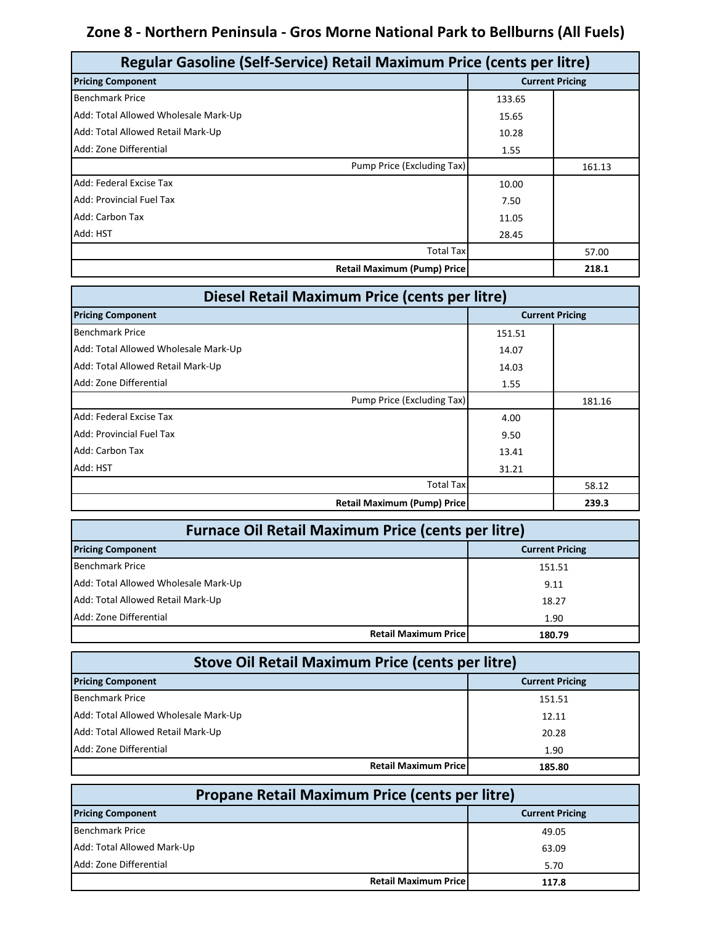### **Zone 8 - Northern Peninsula - Gros Morne National Park to Bellburns (All Fuels)**

| Regular Gasoline (Self-Service) Retail Maximum Price (cents per litre) |        |                        |  |
|------------------------------------------------------------------------|--------|------------------------|--|
| <b>Pricing Component</b>                                               |        | <b>Current Pricing</b> |  |
| <b>Benchmark Price</b>                                                 | 133.65 |                        |  |
| Add: Total Allowed Wholesale Mark-Up                                   | 15.65  |                        |  |
| Add: Total Allowed Retail Mark-Up                                      | 10.28  |                        |  |
| Add: Zone Differential                                                 | 1.55   |                        |  |
| Pump Price (Excluding Tax)                                             |        | 161.13                 |  |
| Add: Federal Excise Tax                                                | 10.00  |                        |  |
| Add: Provincial Fuel Tax                                               | 7.50   |                        |  |
| Add: Carbon Tax                                                        | 11.05  |                        |  |
| Add: HST                                                               | 28.45  |                        |  |
| <b>Total Tax</b>                                                       |        | 57.00                  |  |
| <b>Retail Maximum (Pump) Price</b>                                     |        | 218.1                  |  |

| Diesel Retail Maximum Price (cents per litre) |                        |        |
|-----------------------------------------------|------------------------|--------|
| <b>Pricing Component</b>                      | <b>Current Pricing</b> |        |
| <b>Benchmark Price</b>                        | 151.51                 |        |
| Add: Total Allowed Wholesale Mark-Up          | 14.07                  |        |
| Add: Total Allowed Retail Mark-Up             | 14.03                  |        |
| Add: Zone Differential                        | 1.55                   |        |
| Pump Price (Excluding Tax)                    |                        | 181.16 |
| Add: Federal Excise Tax                       | 4.00                   |        |
| Add: Provincial Fuel Tax                      | 9.50                   |        |
| Add: Carbon Tax                               | 13.41                  |        |
| Add: HST                                      | 31.21                  |        |
| <b>Total Tax</b>                              |                        | 58.12  |
| <b>Retail Maximum (Pump) Price</b>            |                        | 239.3  |

| <b>Furnace Oil Retail Maximum Price (cents per litre)</b> |                        |  |
|-----------------------------------------------------------|------------------------|--|
| <b>Pricing Component</b>                                  | <b>Current Pricing</b> |  |
| <b>Benchmark Price</b>                                    | 151.51                 |  |
| Add: Total Allowed Wholesale Mark-Up                      | 9.11                   |  |
| Add: Total Allowed Retail Mark-Up                         | 18.27                  |  |
| Add: Zone Differential                                    | 1.90                   |  |
| <b>Retail Maximum Price</b>                               | 180.79                 |  |

| <b>Stove Oil Retail Maximum Price (cents per litre)</b> |                        |  |
|---------------------------------------------------------|------------------------|--|
| <b>Pricing Component</b>                                | <b>Current Pricing</b> |  |
| <b>Benchmark Price</b>                                  | 151.51                 |  |
| Add: Total Allowed Wholesale Mark-Up                    | 12.11                  |  |
| Add: Total Allowed Retail Mark-Up                       | 20.28                  |  |
| Add: Zone Differential                                  | 1.90                   |  |
| <b>Retail Maximum Pricel</b>                            | 185.80                 |  |

| <b>Propane Retail Maximum Price (cents per litre)</b> |                        |  |
|-------------------------------------------------------|------------------------|--|
| <b>Pricing Component</b>                              | <b>Current Pricing</b> |  |
| <b>Benchmark Price</b>                                | 49.05                  |  |
| Add: Total Allowed Mark-Up                            | 63.09                  |  |
| Add: Zone Differential                                | 5.70                   |  |
| <b>Retail Maximum Price</b>                           | 117.8                  |  |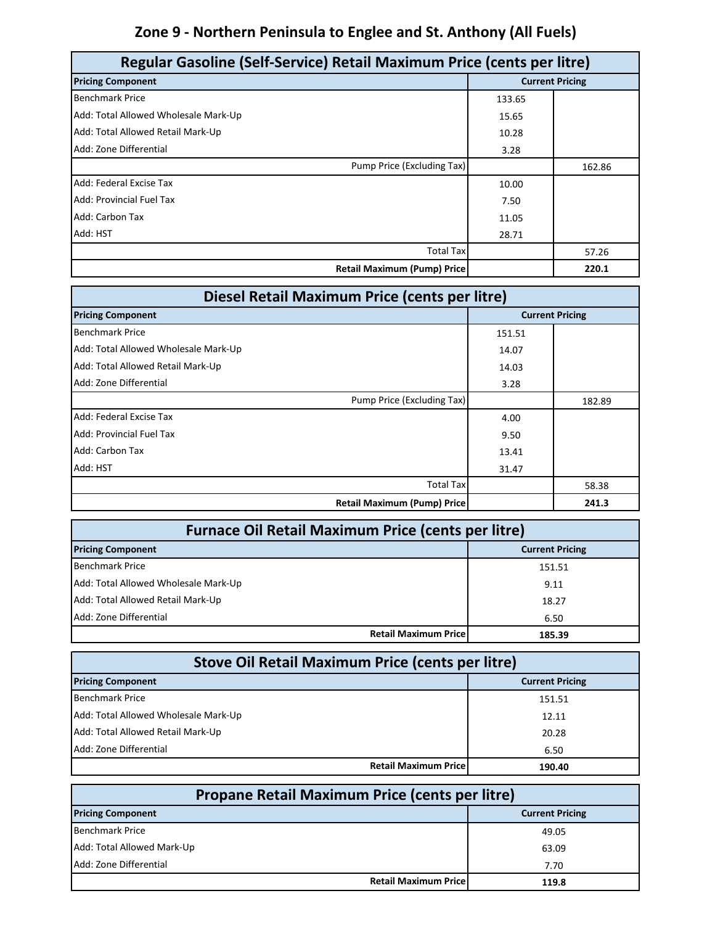# **Zone 9 - Northern Peninsula to Englee and St. Anthony (All Fuels)**

| Regular Gasoline (Self-Service) Retail Maximum Price (cents per litre) |        |                        |  |
|------------------------------------------------------------------------|--------|------------------------|--|
| <b>Pricing Component</b>                                               |        | <b>Current Pricing</b> |  |
| <b>Benchmark Price</b>                                                 | 133.65 |                        |  |
| Add: Total Allowed Wholesale Mark-Up                                   | 15.65  |                        |  |
| Add: Total Allowed Retail Mark-Up                                      | 10.28  |                        |  |
| Add: Zone Differential                                                 | 3.28   |                        |  |
| Pump Price (Excluding Tax)                                             |        | 162.86                 |  |
| Add: Federal Excise Tax                                                | 10.00  |                        |  |
| <b>Add: Provincial Fuel Tax</b>                                        | 7.50   |                        |  |
| Add: Carbon Tax                                                        | 11.05  |                        |  |
| Add: HST                                                               | 28.71  |                        |  |
| <b>Total Tax</b>                                                       |        | 57.26                  |  |
| <b>Retail Maximum (Pump) Price</b>                                     |        | 220.1                  |  |

| Diesel Retail Maximum Price (cents per litre) |                        |        |
|-----------------------------------------------|------------------------|--------|
| <b>Pricing Component</b>                      | <b>Current Pricing</b> |        |
| <b>Benchmark Price</b>                        | 151.51                 |        |
| Add: Total Allowed Wholesale Mark-Up          | 14.07                  |        |
| Add: Total Allowed Retail Mark-Up             | 14.03                  |        |
| Add: Zone Differential                        | 3.28                   |        |
| Pump Price (Excluding Tax)                    |                        | 182.89 |
| Add: Federal Excise Tax                       | 4.00                   |        |
| Add: Provincial Fuel Tax                      | 9.50                   |        |
| Add: Carbon Tax                               | 13.41                  |        |
| Add: HST                                      | 31.47                  |        |
| <b>Total Tax</b>                              |                        | 58.38  |
| <b>Retail Maximum (Pump) Price</b>            |                        | 241.3  |

| <b>Furnace Oil Retail Maximum Price (cents per litre)</b> |                        |  |
|-----------------------------------------------------------|------------------------|--|
| <b>Pricing Component</b>                                  | <b>Current Pricing</b> |  |
| <b>Benchmark Price</b>                                    | 151.51                 |  |
| Add: Total Allowed Wholesale Mark-Up                      | 9.11                   |  |
| Add: Total Allowed Retail Mark-Up                         | 18.27                  |  |
| Add: Zone Differential                                    | 6.50                   |  |
| <b>Retail Maximum Price</b>                               | 185.39                 |  |

| Stove Oil Retail Maximum Price (cents per litre) |                        |  |
|--------------------------------------------------|------------------------|--|
| <b>Pricing Component</b>                         | <b>Current Pricing</b> |  |
| <b>Benchmark Price</b>                           | 151.51                 |  |
| Add: Total Allowed Wholesale Mark-Up             | 12.11                  |  |
| Add: Total Allowed Retail Mark-Up                | 20.28                  |  |
| Add: Zone Differential                           | 6.50                   |  |
| <b>Retail Maximum Pricel</b>                     | 190.40                 |  |

| <b>Propane Retail Maximum Price (cents per litre)</b> |                        |  |
|-------------------------------------------------------|------------------------|--|
| <b>Pricing Component</b>                              | <b>Current Pricing</b> |  |
| <b>Benchmark Price</b>                                | 49.05                  |  |
| Add: Total Allowed Mark-Up                            | 63.09                  |  |
| Add: Zone Differential                                | 7.70                   |  |
| <b>Retail Maximum Price</b>                           | 119.8                  |  |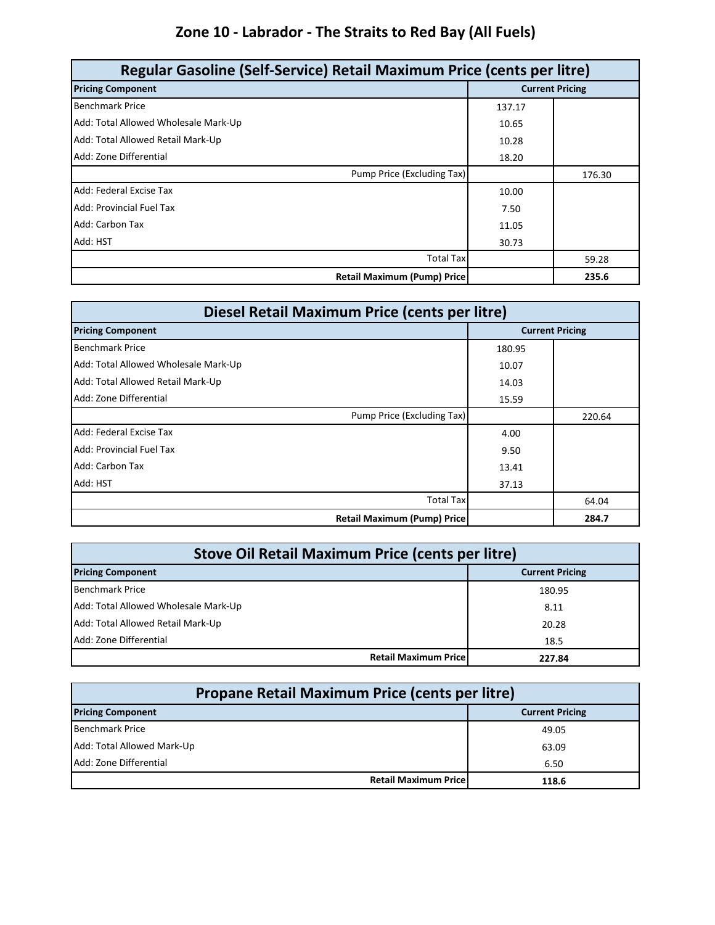# **Zone 10 - Labrador - The Straits to Red Bay (All Fuels)**

| Regular Gasoline (Self-Service) Retail Maximum Price (cents per litre) |                        |        |
|------------------------------------------------------------------------|------------------------|--------|
| <b>Pricing Component</b>                                               | <b>Current Pricing</b> |        |
| <b>Benchmark Price</b>                                                 | 137.17                 |        |
| Add: Total Allowed Wholesale Mark-Up                                   | 10.65                  |        |
| Add: Total Allowed Retail Mark-Up                                      | 10.28                  |        |
| Add: Zone Differential                                                 | 18.20                  |        |
| Pump Price (Excluding Tax)                                             |                        | 176.30 |
| Add: Federal Excise Tax                                                | 10.00                  |        |
| Add: Provincial Fuel Tax                                               | 7.50                   |        |
| Add: Carbon Tax                                                        | 11.05                  |        |
| Add: HST                                                               | 30.73                  |        |
| <b>Total Tax</b>                                                       |                        | 59.28  |
| <b>Retail Maximum (Pump) Price</b>                                     |                        | 235.6  |

| Diesel Retail Maximum Price (cents per litre) |                        |        |
|-----------------------------------------------|------------------------|--------|
| <b>Pricing Component</b>                      | <b>Current Pricing</b> |        |
| <b>Benchmark Price</b>                        | 180.95                 |        |
| Add: Total Allowed Wholesale Mark-Up          | 10.07                  |        |
| Add: Total Allowed Retail Mark-Up             | 14.03                  |        |
| Add: Zone Differential                        | 15.59                  |        |
| Pump Price (Excluding Tax)                    |                        | 220.64 |
| Add: Federal Excise Tax                       | 4.00                   |        |
| Add: Provincial Fuel Tax                      | 9.50                   |        |
| Add: Carbon Tax                               | 13.41                  |        |
| Add: HST                                      | 37.13                  |        |
| <b>Total Tax</b>                              |                        | 64.04  |
| <b>Retail Maximum (Pump) Price</b>            |                        | 284.7  |

| Stove Oil Retail Maximum Price (cents per litre)   |        |  |  |
|----------------------------------------------------|--------|--|--|
| <b>Pricing Component</b><br><b>Current Pricing</b> |        |  |  |
| <b>Benchmark Price</b>                             | 180.95 |  |  |
| Add: Total Allowed Wholesale Mark-Up               | 8.11   |  |  |
| Add: Total Allowed Retail Mark-Up                  | 20.28  |  |  |
| Add: Zone Differential                             | 18.5   |  |  |
| <b>Retail Maximum Price</b>                        | 227.84 |  |  |

| Propane Retail Maximum Price (cents per litre)     |       |  |  |
|----------------------------------------------------|-------|--|--|
| <b>Pricing Component</b><br><b>Current Pricing</b> |       |  |  |
| <b>Benchmark Price</b>                             | 49.05 |  |  |
| Add: Total Allowed Mark-Up                         | 63.09 |  |  |
| Add: Zone Differential                             | 6.50  |  |  |
| <b>Retail Maximum Price</b>                        | 118.6 |  |  |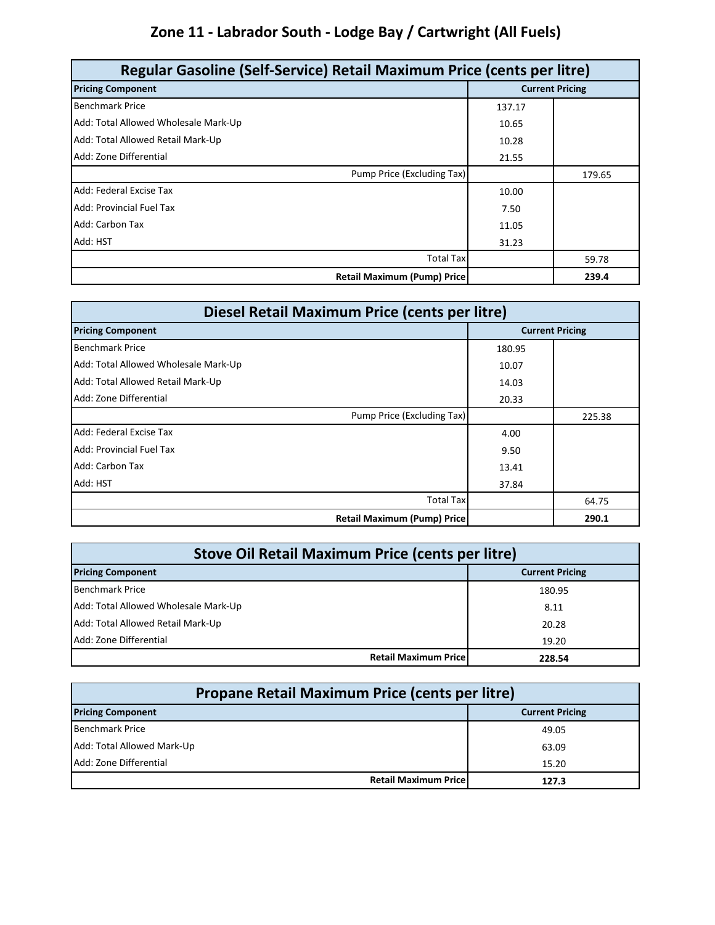# **Zone 11 - Labrador South - Lodge Bay / Cartwright (All Fuels)**

| Regular Gasoline (Self-Service) Retail Maximum Price (cents per litre) |        |                        |  |
|------------------------------------------------------------------------|--------|------------------------|--|
| <b>Pricing Component</b>                                               |        | <b>Current Pricing</b> |  |
| <b>Benchmark Price</b>                                                 | 137.17 |                        |  |
| Add: Total Allowed Wholesale Mark-Up                                   | 10.65  |                        |  |
| Add: Total Allowed Retail Mark-Up                                      | 10.28  |                        |  |
| Add: Zone Differential                                                 | 21.55  |                        |  |
| Pump Price (Excluding Tax)                                             |        | 179.65                 |  |
| Add: Federal Excise Tax                                                | 10.00  |                        |  |
| Add: Provincial Fuel Tax                                               | 7.50   |                        |  |
| Add: Carbon Tax                                                        | 11.05  |                        |  |
| Add: HST                                                               | 31.23  |                        |  |
| <b>Total Tax</b>                                                       |        | 59.78                  |  |
| <b>Retail Maximum (Pump) Price</b>                                     |        | 239.4                  |  |

| Diesel Retail Maximum Price (cents per litre) |        |                        |
|-----------------------------------------------|--------|------------------------|
| <b>Pricing Component</b>                      |        | <b>Current Pricing</b> |
| <b>Benchmark Price</b>                        | 180.95 |                        |
| Add: Total Allowed Wholesale Mark-Up          | 10.07  |                        |
| Add: Total Allowed Retail Mark-Up             | 14.03  |                        |
| Add: Zone Differential                        | 20.33  |                        |
| Pump Price (Excluding Tax)                    |        | 225.38                 |
| Add: Federal Excise Tax                       | 4.00   |                        |
| Add: Provincial Fuel Tax                      | 9.50   |                        |
| Add: Carbon Tax                               | 13.41  |                        |
| Add: HST                                      | 37.84  |                        |
| <b>Total Tax</b>                              |        | 64.75                  |
| <b>Retail Maximum (Pump) Price</b>            |        | 290.1                  |

| <b>Stove Oil Retail Maximum Price (cents per litre)</b> |                                       |  |  |
|---------------------------------------------------------|---------------------------------------|--|--|
| <b>Pricing Component</b><br><b>Current Pricing</b>      |                                       |  |  |
| <b>Benchmark Price</b>                                  | 180.95                                |  |  |
| Add: Total Allowed Wholesale Mark-Up                    | 8.11                                  |  |  |
| Add: Total Allowed Retail Mark-Up                       | 20.28                                 |  |  |
| Add: Zone Differential                                  | 19.20                                 |  |  |
|                                                         | <b>Retail Maximum Price</b><br>228.54 |  |  |

| Propane Retail Maximum Price (cents per litre)     |                                       |  |  |  |
|----------------------------------------------------|---------------------------------------|--|--|--|
| <b>Pricing Component</b><br><b>Current Pricing</b> |                                       |  |  |  |
| <b>Benchmark Price</b>                             | 49.05                                 |  |  |  |
| Add: Total Allowed Mark-Up                         | 63.09                                 |  |  |  |
| Add: Zone Differential                             | 15.20                                 |  |  |  |
|                                                    | <b>Retail Maximum Pricel</b><br>127.3 |  |  |  |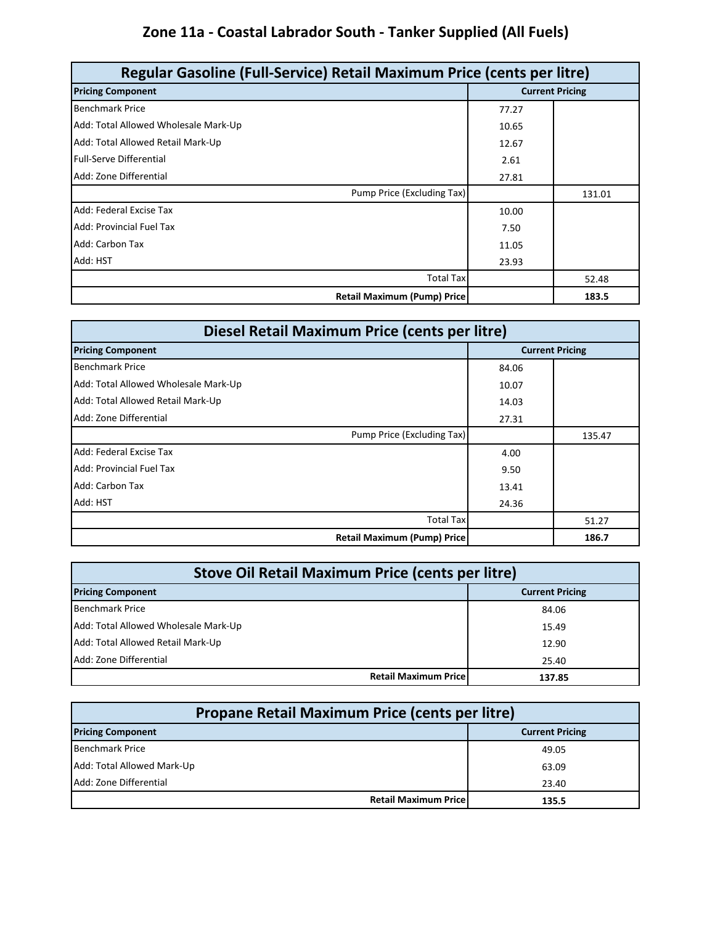# **Zone 11a - Coastal Labrador South - Tanker Supplied (All Fuels)**

| Regular Gasoline (Full-Service) Retail Maximum Price (cents per litre) |                        |        |
|------------------------------------------------------------------------|------------------------|--------|
| <b>Pricing Component</b>                                               | <b>Current Pricing</b> |        |
| <b>Benchmark Price</b>                                                 | 77.27                  |        |
| Add: Total Allowed Wholesale Mark-Up                                   | 10.65                  |        |
| Add: Total Allowed Retail Mark-Up                                      | 12.67                  |        |
| <b>Full-Serve Differential</b>                                         | 2.61                   |        |
| Add: Zone Differential                                                 | 27.81                  |        |
| Pump Price (Excluding Tax)                                             |                        | 131.01 |
| Add: Federal Excise Tax                                                | 10.00                  |        |
| <b>Add: Provincial Fuel Tax</b>                                        | 7.50                   |        |
| Add: Carbon Tax                                                        | 11.05                  |        |
| Add: HST                                                               | 23.93                  |        |
| <b>Total Tax</b>                                                       |                        | 52.48  |
| <b>Retail Maximum (Pump) Price</b>                                     |                        | 183.5  |

| Diesel Retail Maximum Price (cents per litre) |       |                        |
|-----------------------------------------------|-------|------------------------|
| <b>Pricing Component</b>                      |       | <b>Current Pricing</b> |
| <b>Benchmark Price</b>                        | 84.06 |                        |
| Add: Total Allowed Wholesale Mark-Up          | 10.07 |                        |
| Add: Total Allowed Retail Mark-Up             | 14.03 |                        |
| Add: Zone Differential                        | 27.31 |                        |
| Pump Price (Excluding Tax)                    |       | 135.47                 |
| Add: Federal Excise Tax                       | 4.00  |                        |
| Add: Provincial Fuel Tax                      | 9.50  |                        |
| Add: Carbon Tax                               | 13.41 |                        |
| Add: HST                                      | 24.36 |                        |
| <b>Total Tax</b>                              |       | 51.27                  |
| <b>Retail Maximum (Pump) Price</b>            |       | 186.7                  |

| <b>Stove Oil Retail Maximum Price (cents per litre)</b> |        |  |  |
|---------------------------------------------------------|--------|--|--|
| <b>Pricing Component</b><br><b>Current Pricing</b>      |        |  |  |
| <b>Benchmark Price</b>                                  | 84.06  |  |  |
| Add: Total Allowed Wholesale Mark-Up                    | 15.49  |  |  |
| Add: Total Allowed Retail Mark-Up                       | 12.90  |  |  |
| Add: Zone Differential                                  | 25.40  |  |  |
| <b>Retail Maximum Price</b>                             | 137.85 |  |  |

| Propane Retail Maximum Price (cents per litre)     |       |  |  |  |
|----------------------------------------------------|-------|--|--|--|
| <b>Pricing Component</b><br><b>Current Pricing</b> |       |  |  |  |
| Benchmark Price                                    | 49.05 |  |  |  |
| Add: Total Allowed Mark-Up                         | 63.09 |  |  |  |
| Add: Zone Differential                             | 23.40 |  |  |  |
| <b>Retail Maximum Pricel</b>                       | 135.5 |  |  |  |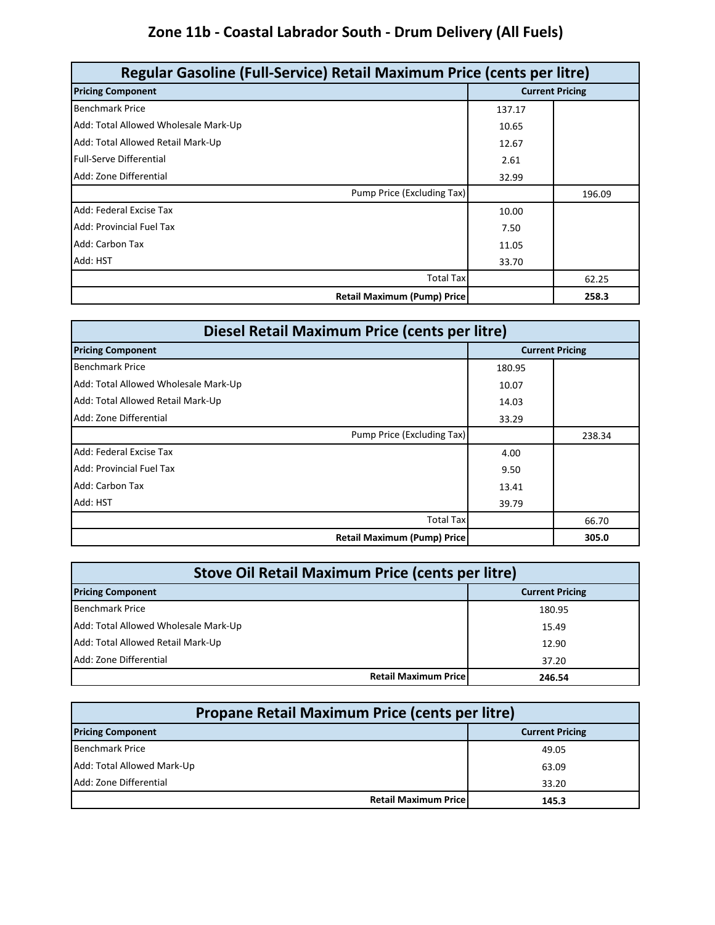# **Zone 11b - Coastal Labrador South - Drum Delivery (All Fuels)**

| Regular Gasoline (Full-Service) Retail Maximum Price (cents per litre) |                        |        |
|------------------------------------------------------------------------|------------------------|--------|
| <b>Pricing Component</b>                                               | <b>Current Pricing</b> |        |
| <b>Benchmark Price</b>                                                 | 137.17                 |        |
| Add: Total Allowed Wholesale Mark-Up                                   | 10.65                  |        |
| Add: Total Allowed Retail Mark-Up                                      | 12.67                  |        |
| <b>Full-Serve Differential</b>                                         | 2.61                   |        |
| Add: Zone Differential                                                 | 32.99                  |        |
| Pump Price (Excluding Tax)                                             |                        | 196.09 |
| Add: Federal Excise Tax                                                | 10.00                  |        |
| <b>Add: Provincial Fuel Tax</b>                                        | 7.50                   |        |
| Add: Carbon Tax                                                        | 11.05                  |        |
| Add: HST                                                               | 33.70                  |        |
| <b>Total Tax</b>                                                       |                        | 62.25  |
| <b>Retail Maximum (Pump) Price</b>                                     |                        | 258.3  |

| Diesel Retail Maximum Price (cents per litre) |        |                        |
|-----------------------------------------------|--------|------------------------|
| <b>Pricing Component</b>                      |        | <b>Current Pricing</b> |
| <b>Benchmark Price</b>                        | 180.95 |                        |
| Add: Total Allowed Wholesale Mark-Up          | 10.07  |                        |
| Add: Total Allowed Retail Mark-Up             | 14.03  |                        |
| Add: Zone Differential                        | 33.29  |                        |
| Pump Price (Excluding Tax)                    |        | 238.34                 |
| Add: Federal Excise Tax                       | 4.00   |                        |
| Add: Provincial Fuel Tax                      | 9.50   |                        |
| Add: Carbon Tax                               | 13.41  |                        |
| Add: HST                                      | 39.79  |                        |
| <b>Total Tax</b>                              |        | 66.70                  |
| <b>Retail Maximum (Pump) Price</b>            |        | 305.0                  |

| <b>Stove Oil Retail Maximum Price (cents per litre)</b> |        |  |  |
|---------------------------------------------------------|--------|--|--|
| <b>Current Pricing</b><br><b>Pricing Component</b>      |        |  |  |
| <b>Benchmark Price</b>                                  | 180.95 |  |  |
| Add: Total Allowed Wholesale Mark-Up                    | 15.49  |  |  |
| Add: Total Allowed Retail Mark-Up                       | 12.90  |  |  |
| Add: Zone Differential                                  | 37.20  |  |  |
| <b>Retail Maximum Price</b>                             | 246.54 |  |  |

| Propane Retail Maximum Price (cents per litre)     |       |  |  |
|----------------------------------------------------|-------|--|--|
| <b>Pricing Component</b><br><b>Current Pricing</b> |       |  |  |
| <b>Benchmark Price</b>                             | 49.05 |  |  |
| Add: Total Allowed Mark-Up                         | 63.09 |  |  |
| Add: Zone Differential                             | 33.20 |  |  |
| <b>Retail Maximum Pricel</b>                       | 145.3 |  |  |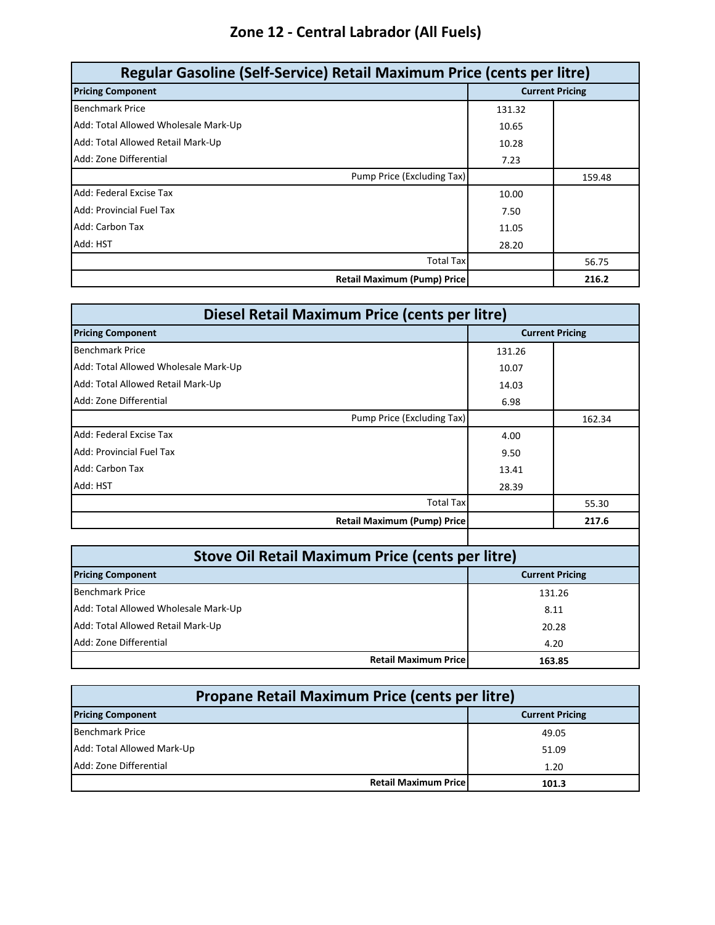# **Zone 12 - Central Labrador (All Fuels)**

| Regular Gasoline (Self-Service) Retail Maximum Price (cents per litre) |        |                        |  |
|------------------------------------------------------------------------|--------|------------------------|--|
| <b>Pricing Component</b>                                               |        | <b>Current Pricing</b> |  |
| <b>Benchmark Price</b>                                                 | 131.32 |                        |  |
| Add: Total Allowed Wholesale Mark-Up                                   | 10.65  |                        |  |
| Add: Total Allowed Retail Mark-Up                                      | 10.28  |                        |  |
| Add: Zone Differential                                                 | 7.23   |                        |  |
| Pump Price (Excluding Tax)                                             |        | 159.48                 |  |
| Add: Federal Excise Tax                                                | 10.00  |                        |  |
| <b>Add: Provincial Fuel Tax</b>                                        | 7.50   |                        |  |
| Add: Carbon Tax                                                        | 11.05  |                        |  |
| Add: HST                                                               | 28.20  |                        |  |
| <b>Total Tax</b>                                                       |        | 56.75                  |  |
| <b>Retail Maximum (Pump) Price</b>                                     |        | 216.2                  |  |

| Diesel Retail Maximum Price (cents per litre) |                        |        |
|-----------------------------------------------|------------------------|--------|
| <b>Pricing Component</b>                      | <b>Current Pricing</b> |        |
| <b>Benchmark Price</b>                        | 131.26                 |        |
| Add: Total Allowed Wholesale Mark-Up          | 10.07                  |        |
| Add: Total Allowed Retail Mark-Up             | 14.03                  |        |
| Add: Zone Differential                        | 6.98                   |        |
| Pump Price (Excluding Tax)                    |                        | 162.34 |
| Add: Federal Excise Tax                       | 4.00                   |        |
| Add: Provincial Fuel Tax                      | 9.50                   |        |
| Add: Carbon Tax                               | 13.41                  |        |
| Add: HST                                      | 28.39                  |        |
| <b>Total Tax</b>                              |                        | 55.30  |
| <b>Retail Maximum (Pump) Price</b>            |                        | 217.6  |

| <b>Stove Oil Retail Maximum Price (cents per litre)</b> |        |  |  |
|---------------------------------------------------------|--------|--|--|
| <b>Pricing Component</b><br><b>Current Pricing</b>      |        |  |  |
| <b>Benchmark Price</b>                                  | 131.26 |  |  |
| Add: Total Allowed Wholesale Mark-Up                    | 8.11   |  |  |
| Add: Total Allowed Retail Mark-Up                       | 20.28  |  |  |
| Add: Zone Differential                                  | 4.20   |  |  |
| <b>Retail Maximum Pricel</b>                            | 163.85 |  |  |

| Propane Retail Maximum Price (cents per litre)     |                                      |  |  |
|----------------------------------------------------|--------------------------------------|--|--|
| <b>Pricing Component</b><br><b>Current Pricing</b> |                                      |  |  |
| <b>Benchmark Price</b>                             | 49.05                                |  |  |
| Add: Total Allowed Mark-Up                         | 51.09                                |  |  |
| Add: Zone Differential                             | 1.20                                 |  |  |
|                                                    | <b>Retail Maximum Price</b><br>101.3 |  |  |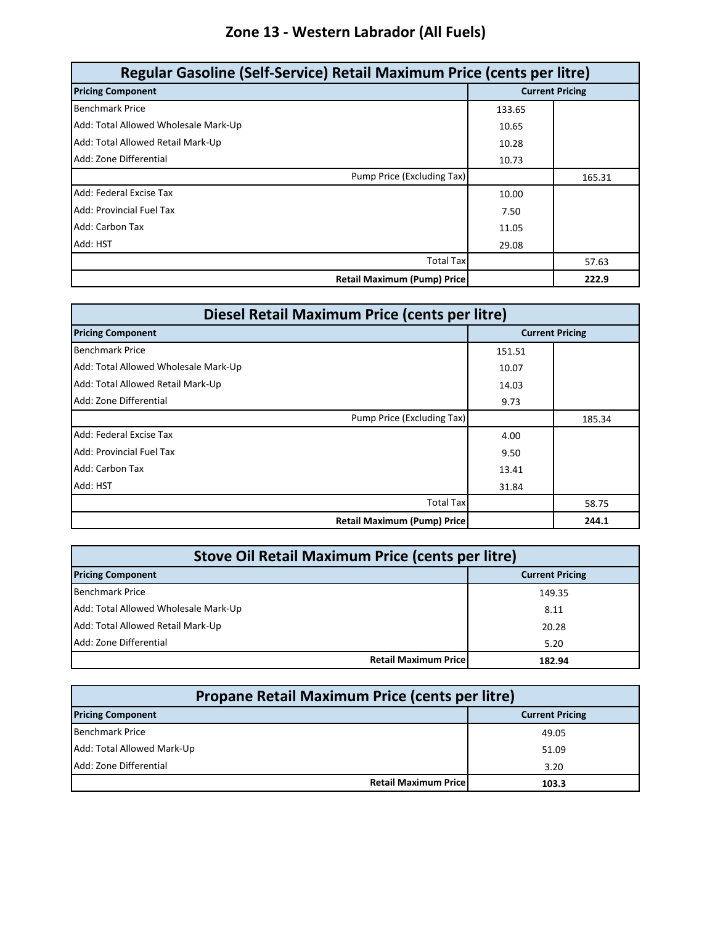# **Zone 13 - Western Labrador (All Fuels)**

| Regular Gasoline (Self-Service) Retail Maximum Price (cents per litre) |        |        |  |
|------------------------------------------------------------------------|--------|--------|--|
| <b>Pricing Component</b><br><b>Current Pricing</b>                     |        |        |  |
| <b>Benchmark Price</b>                                                 | 133.65 |        |  |
| Add: Total Allowed Wholesale Mark-Up                                   | 10.65  |        |  |
| Add: Total Allowed Retail Mark-Up                                      | 10.28  |        |  |
| Add: Zone Differential                                                 | 10.73  |        |  |
| Pump Price (Excluding Tax)                                             |        | 165.31 |  |
| Add: Federal Excise Tax                                                | 10.00  |        |  |
| <b>Add: Provincial Fuel Tax</b>                                        | 7.50   |        |  |
| Add: Carbon Tax                                                        | 11.05  |        |  |
| Add: HST                                                               | 29.08  |        |  |
| <b>Total Tax</b>                                                       |        | 57.63  |  |
| <b>Retail Maximum (Pump) Price</b>                                     |        | 222.9  |  |

| Diesel Retail Maximum Price (cents per litre) |        |                        |  |
|-----------------------------------------------|--------|------------------------|--|
| <b>Pricing Component</b>                      |        | <b>Current Pricing</b> |  |
| <b>Benchmark Price</b>                        | 151.51 |                        |  |
| Add: Total Allowed Wholesale Mark-Up          | 10.07  |                        |  |
| Add: Total Allowed Retail Mark-Up             | 14.03  |                        |  |
| Add: Zone Differential                        | 9.73   |                        |  |
| Pump Price (Excluding Tax)                    |        | 185.34                 |  |
| Add: Federal Excise Tax                       | 4.00   |                        |  |
| Add: Provincial Fuel Tax                      | 9.50   |                        |  |
| Add: Carbon Tax                               | 13.41  |                        |  |
| Add: HST                                      | 31.84  |                        |  |
| <b>Total Tax</b>                              |        | 58.75                  |  |
| <b>Retail Maximum (Pump) Price</b>            |        | 244.1                  |  |

| <b>Stove Oil Retail Maximum Price (cents per litre)</b> |        |  |
|---------------------------------------------------------|--------|--|
| <b>Pricing Component</b><br><b>Current Pricing</b>      |        |  |
| <b>Benchmark Price</b>                                  | 149.35 |  |
| Add: Total Allowed Wholesale Mark-Up                    | 8.11   |  |
| Add: Total Allowed Retail Mark-Up                       | 20.28  |  |
| Add: Zone Differential                                  | 5.20   |  |
| <b>Retail Maximum Pricel</b>                            | 182.94 |  |

| Propane Retail Maximum Price (cents per litre)     |                                       |  |  |
|----------------------------------------------------|---------------------------------------|--|--|
| <b>Pricing Component</b><br><b>Current Pricing</b> |                                       |  |  |
| Benchmark Price                                    | 49.05                                 |  |  |
| Add: Total Allowed Mark-Up                         | 51.09                                 |  |  |
| Add: Zone Differential                             | 3.20                                  |  |  |
|                                                    | <b>Retail Maximum Pricel</b><br>103.3 |  |  |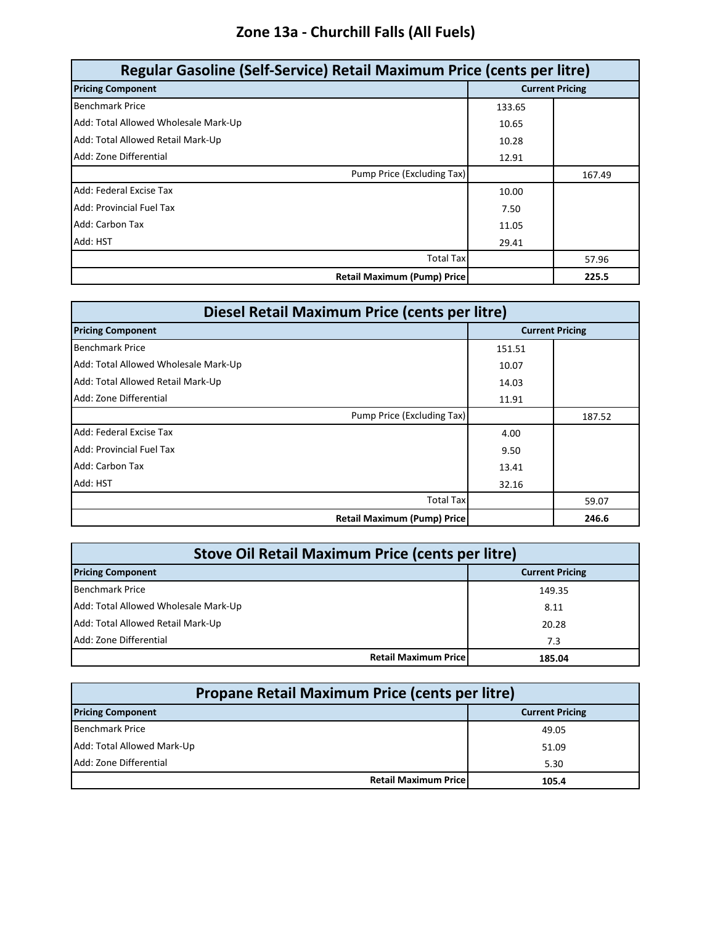### **Zone 13a - Churchill Falls (All Fuels)**

| Regular Gasoline (Self-Service) Retail Maximum Price (cents per litre) |                        |        |
|------------------------------------------------------------------------|------------------------|--------|
| <b>Pricing Component</b>                                               | <b>Current Pricing</b> |        |
| <b>Benchmark Price</b>                                                 | 133.65                 |        |
| Add: Total Allowed Wholesale Mark-Up                                   | 10.65                  |        |
| Add: Total Allowed Retail Mark-Up                                      | 10.28                  |        |
| Add: Zone Differential                                                 | 12.91                  |        |
| Pump Price (Excluding Tax)                                             |                        | 167.49 |
| Add: Federal Excise Tax                                                | 10.00                  |        |
| Add: Provincial Fuel Tax                                               | 7.50                   |        |
| Add: Carbon Tax                                                        | 11.05                  |        |
| Add: HST                                                               | 29.41                  |        |
| <b>Total Tax</b>                                                       |                        | 57.96  |
| <b>Retail Maximum (Pump) Price</b>                                     |                        | 225.5  |

| Diesel Retail Maximum Price (cents per litre) |        |                        |  |
|-----------------------------------------------|--------|------------------------|--|
| <b>Pricing Component</b>                      |        | <b>Current Pricing</b> |  |
| <b>Benchmark Price</b>                        | 151.51 |                        |  |
| Add: Total Allowed Wholesale Mark-Up          | 10.07  |                        |  |
| Add: Total Allowed Retail Mark-Up             | 14.03  |                        |  |
| Add: Zone Differential                        | 11.91  |                        |  |
| Pump Price (Excluding Tax)                    |        | 187.52                 |  |
| Add: Federal Excise Tax                       | 4.00   |                        |  |
| Add: Provincial Fuel Tax                      | 9.50   |                        |  |
| Add: Carbon Tax                               | 13.41  |                        |  |
| Add: HST                                      | 32.16  |                        |  |
| <b>Total Tax</b>                              |        | 59.07                  |  |
| <b>Retail Maximum (Pump) Price</b>            |        | 246.6                  |  |

| <b>Stove Oil Retail Maximum Price (cents per litre)</b> |                        |  |  |
|---------------------------------------------------------|------------------------|--|--|
| <b>Pricing Component</b>                                | <b>Current Pricing</b> |  |  |
| <b>Benchmark Price</b>                                  | 149.35                 |  |  |
| Add: Total Allowed Wholesale Mark-Up                    | 8.11                   |  |  |
| Add: Total Allowed Retail Mark-Up                       | 20.28                  |  |  |
| Add: Zone Differential                                  | 7.3                    |  |  |
| <b>Retail Maximum Price</b>                             | 185.04                 |  |  |

| Propane Retail Maximum Price (cents per litre) |                              |                        |  |
|------------------------------------------------|------------------------------|------------------------|--|
| <b>Pricing Component</b>                       |                              | <b>Current Pricing</b> |  |
| <b>Benchmark Price</b>                         |                              | 49.05                  |  |
| Add: Total Allowed Mark-Up                     |                              | 51.09                  |  |
| Add: Zone Differential                         |                              | 5.30                   |  |
|                                                | <b>Retail Maximum Pricel</b> | 105.4                  |  |